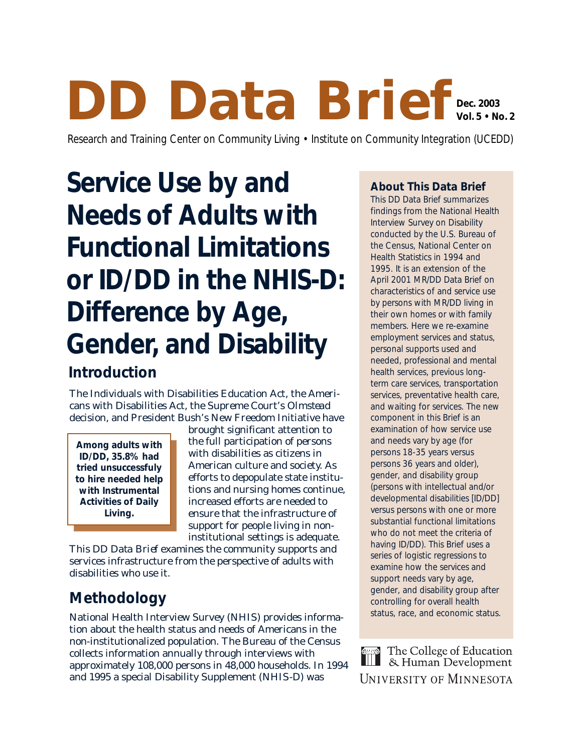## **DD Data Brief Dec. 2003 Vol. 5 • No. 2**

Research and Training Center on Community Living • Institute on Community Integration (UCEDD)

# **Service Use by and Needs of Adults with Functional Limitations or ID/DD in the NHIS-D: Difference by Age, Gender, and Disability**

## **Introduction**

The Individuals with Disabilities Education Act, the Americans with Disabilities Act, the Supreme Court's *Olmstead* decision, and President Bush's New Freedom Initiative have

**Among adults with ID/DD, 35.8% had tried unsuccessfuly to hire needed help with Instrumental Activities of Daily Living.**

brought significant attention to the full participation of persons with disabilities as citizens in American culture and society. As efforts to depopulate state institutions and nursing homes continue, increased efforts are needed to ensure that the infrastructure of support for people living in noninstitutional settings is adequate.

This *DD Data Brief* examines the community supports and services infrastructure from the perspective of adults with disabilities who use it.

# **Methodology**

National Health Interview Survey (NHIS) provides information about the health status and needs of Americans in the non-institutionalized population. The Bureau of the Census collects information annually through interviews with approximately 108,000 persons in 48,000 households. In 1994 and 1995 a special Disability Supplement (NHIS-D) was

#### **About This** *Data Brief*

This *DD Data Brief* summarizes findings from the National Health Interview Survey on Disability conducted by the U.S. Bureau of the Census, National Center on Health Statistics in 1994 and 1995. It is an extension of the April 2001 *MR/DD Data Brief* on characteristics of and service use by persons with MR/DD living in their own homes or with family members. Here we re-examine employment services and status, personal supports used and needed, professional and mental health services, previous longterm care services, transportation services, preventative health care, and waiting for services. The new component in this *Brief* is an examination of how service use and needs vary by age (for persons 18-35 years versus persons 36 years and older), gender, and disability group (persons with intellectual and/or developmental disabilities [ID/DD] versus persons with one or more substantial functional limitations who do not meet the criteria of having ID/DD). This *Brief* uses a series of logistic regressions to examine how the services and support needs vary by age, gender, and disability group after controlling for overall health status, race, and economic status.

The College of Education<br>8. Human Development UNIVERSITY OF MINNESOTA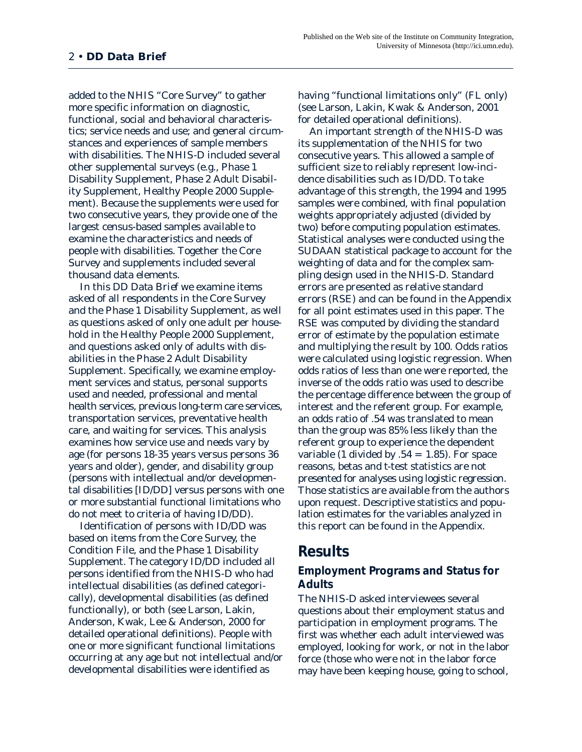added to the NHIS "Core Survey" to gather more specific information on diagnostic, functional, social and behavioral characteristics; service needs and use; and general circumstances and experiences of sample members with disabilities. The NHIS-D included several other supplemental surveys (e.g., Phase 1 Disability Supplement, Phase 2 Adult Disability Supplement, Healthy People 2000 Supplement). Because the supplements were used for two consecutive years, they provide one of the largest census-based samples available to examine the characteristics and needs of people with disabilities. Together the Core Survey and supplements included several thousand data elements.

In this *DD Data Brief* we examine items asked of all respondents in the Core Survey and the Phase 1 Disability Supplement, as well as questions asked of only one adult per household in the Healthy People 2000 Supplement, and questions asked only of adults with disabilities in the Phase 2 Adult Disability Supplement. Specifically, we examine employment services and status, personal supports used and needed, professional and mental health services, previous long-term care services, transportation services, preventative health care, and waiting for services. This analysis examines how service use and needs vary by age (for persons 18-35 years versus persons 36 years and older), gender, and disability group (persons with intellectual and/or developmental disabilities [ID/DD] versus persons with one or more substantial functional limitations who do not meet to criteria of having ID/DD).

Identification of persons with ID/DD was based on items from the Core Survey, the Condition File, and the Phase 1 Disability Supplement. The category ID/DD included all persons identified from the NHIS-D who had intellectual disabilities (as defined categorically), developmental disabilities (as defined functionally), or both (see Larson, Lakin, Anderson, Kwak, Lee & Anderson, 2000 for detailed operational definitions). People with one or more significant functional limitations occurring at any age but not intellectual and/or developmental disabilities were identified as

having "functional limitations only" (FL only) (see Larson, Lakin, Kwak & Anderson, 2001 for detailed operational definitions).

An important strength of the NHIS-D was its supplementation of the NHIS for two consecutive years. This allowed a sample of sufficient size to reliably represent low-incidence disabilities such as ID/DD. To take advantage of this strength, the 1994 and 1995 samples were combined, with final population weights appropriately adjusted (divided by two) before computing population estimates. Statistical analyses were conducted using the SUDAAN statistical package to account for the weighting of data and for the complex sampling design used in the NHIS-D. Standard errors are presented as relative standard errors (RSE) and can be found in the Appendix for all point estimates used in this paper. The RSE was computed by dividing the standard error of estimate by the population estimate and multiplying the result by 100. Odds ratios were calculated using logistic regression. When odds ratios of less than one were reported, the inverse of the odds ratio was used to describe the percentage difference between the group of interest and the referent group. For example, an odds ratio of .54 was translated to mean than the group was 85% less likely than the referent group to experience the dependent variable (1 divided by  $.54 = 1.85$ ). For space reasons, betas and *t*-test statistics are not presented for analyses using logistic regression. Those statistics are available from the authors upon request. Descriptive statistics and population estimates for the variables analyzed in this report can be found in the Appendix.

## **Results**

#### **Employment Programs and Status for Adults**

The NHIS-D asked interviewees several questions about their employment status and participation in employment programs. The first was whether each adult interviewed was employed, looking for work, or not in the labor force (those who were not in the labor force may have been keeping house, going to school,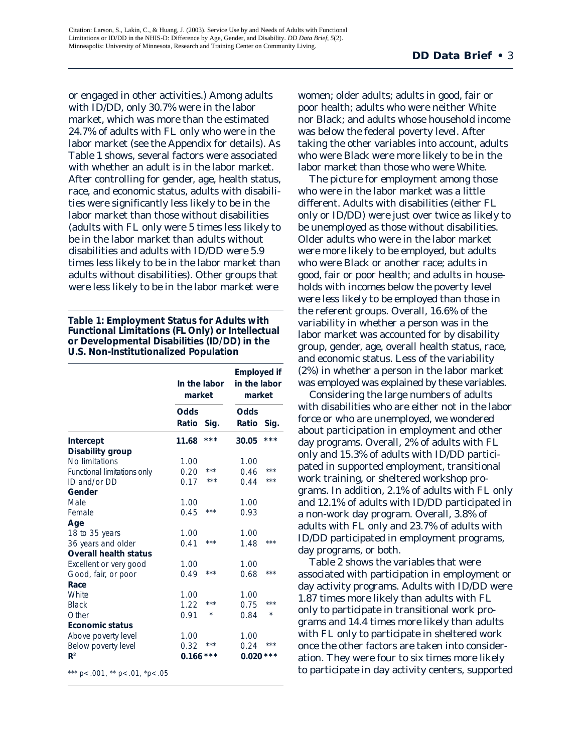or engaged in other activities.) Among adults with ID/DD, only 30.7% were in the labor market, which was more than the estimated 24.7% of adults with FL only who were in the labor market (see the Appendix for details). As Table 1 shows, several factors were associated with whether an adult is in the labor market. After controlling for gender, age, health status, race, and economic status, adults with disabilities were significantly less likely to be in the labor market than those without disabilities (adults with FL only were 5 times less likely to be in the labor market than adults without disabilities and adults with ID/DD were 5.9 times less likely to be in the labor market than adults without disabilities). Other groups that were less likely to be in the labor market were

#### **Table 1: Employment Status for Adults with Functional Limitations (FL Only) or Intellectual or Developmental Disabilities (ID/DD) in the U.S. Non-Institutionalized Population**

|                              | In the labor<br>market |         | <b>Employed if</b><br>in the labor<br>market |         |
|------------------------------|------------------------|---------|----------------------------------------------|---------|
|                              | Odds                   |         | Odds                                         |         |
|                              | Ratio                  | Sig.    | Ratio                                        | Sig.    |
| Intercept                    | 11.68                  | $***$   | 30.05                                        | $***$   |
| Disability group             |                        |         |                                              |         |
| No limitations               | 1.00                   |         | 1.00                                         |         |
| Functional limitations only  | 0.20                   | ***     | 0.46                                         | ***     |
| $ID$ and/or $DD$             | 0.17                   | $***$   | 0.44                                         | ***     |
| Gender                       |                        |         |                                              |         |
| Male                         | 1.00                   |         | 1.00                                         |         |
| Female                       | 0.45                   | $***$   | 0.93                                         |         |
| Age                          |                        |         |                                              |         |
| 18 to 35 years               | 1.00                   |         | 1.00                                         |         |
| 36 years and older           | 0.41                   | $***$   | 1.48                                         | ***     |
| <b>Overall health status</b> |                        |         |                                              |         |
| Excellent or very good       | 1.00                   |         | 1.00                                         |         |
| Good, fair, or poor          | 0.49                   | ***     | 0.68                                         | ***     |
| Race                         |                        |         |                                              |         |
| <b>White</b>                 | 1.00                   |         | 1.00                                         |         |
| <b>Black</b>                 | 1.22                   | $***$   | 0.75                                         | ***     |
| Other                        | 0.91                   | $\star$ | 0.84                                         | $\star$ |
| <b>Economic status</b>       |                        |         |                                              |         |
| Above poverty level          | 1.00                   |         | 1.00                                         |         |
| Below poverty level          | 0.32                   | ***     | 0.24                                         | ***     |
| $\mathbb{R}^2$               | 0.166                  | ***     | 0.020                                        | ***     |

\*\*\*  $p < .001$ , \*\*  $p < .01$ , \*p $< .05$ 

women; older adults; adults in good, fair or poor health; adults who were neither White nor Black; and adults whose household income was below the federal poverty level. After taking the other variables into account, adults who were Black were more likely to be in the labor market than those who were White.

The picture for employment among those who were in the labor market was a little different. Adults with disabilities (either FL only or ID/DD) were just over twice as likely to be unemployed as those without disabilities. Older adults who were in the labor market were more likely to be employed, but adults who were Black or another race; adults in good, fair or poor health; and adults in households with incomes below the poverty level were less likely to be employed than those in the referent groups. Overall, 16.6% of the variability in whether a person was in the labor market was accounted for by disability group, gender, age, overall health status, race, and economic status. Less of the variability (2%) in whether a person in the labor market was employed was explained by these variables.

Considering the large numbers of adults with disabilities who are either not in the labor force or who are unemployed, we wondered about participation in employment and other day programs. Overall, 2% of adults with FL only and 15.3% of adults with ID/DD participated in supported employment, transitional work training, or sheltered workshop programs. In addition, 2.1% of adults with FL only and 12.1% of adults with ID/DD participated in a non-work day program. Overall, 3.8% of adults with FL only and 23.7% of adults with ID/DD participated in employment programs, day programs, or both.

Table 2 shows the variables that were associated with participation in employment or day activity programs. Adults with ID/DD were 1.87 times more likely than adults with FL only to participate in transitional work programs and 14.4 times more likely than adults with FL only to participate in sheltered work once the other factors are taken into consideration. They were four to six times more likely to participate in day activity centers, supported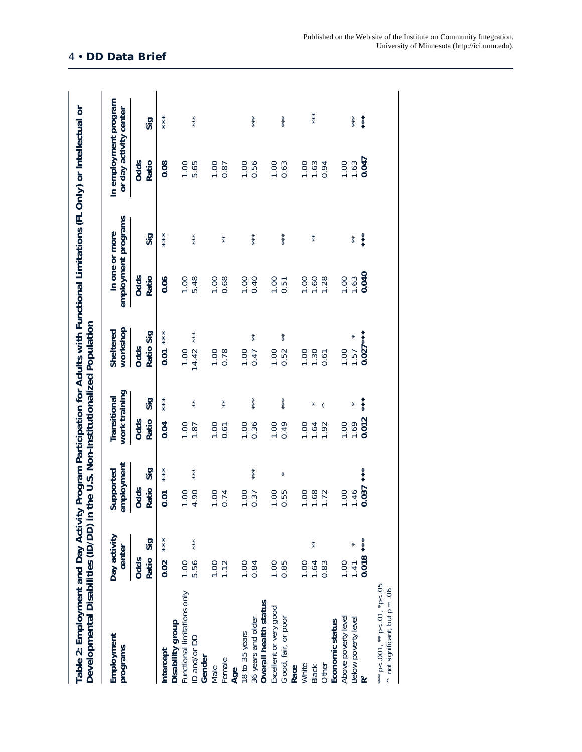| Employment<br>programs                          | Day activity<br>center |         | employment<br>Supported |     | work training<br>Transitional |         | workshop<br>Sheltered | employment programs<br>In one or more |                    | In employment program<br>or day activity center     |         |
|-------------------------------------------------|------------------------|---------|-------------------------|-----|-------------------------------|---------|-----------------------|---------------------------------------|--------------------|-----------------------------------------------------|---------|
|                                                 | Ratio<br>Odds          | Sig     | Ratio<br>Odds           | Sig | Ratio<br>Odds                 | Sig     | Ratio Sig<br>Odds     | Odds<br>Ratio                         | Sig                | Odds<br>Ratio                                       | Sig     |
| Intercept                                       | 0.02                   | $***$   | 0.01                    |     | 0.04                          | $* * *$ | $* * *$<br>0.01       | 0.06                                  | $* * *$            | 0.08                                                | $* * *$ |
| Functional limitations only<br>Disability group | 1.00                   |         | 1.00                    |     | 1.00                          |         |                       |                                       |                    | 1.00                                                |         |
| D and/or DD                                     | 5.56                   | $* * *$ | $* * *$<br>4.90         |     | 1.87                          | $*$     | $* * *$<br>14.42      | $1.00$<br>5.48                        | $* * *$            | 5.65                                                | $* * *$ |
| Gender                                          |                        |         |                         |     |                               |         |                       |                                       |                    |                                                     |         |
| Male                                            | $1.00$<br>$1.12$       |         |                         |     | 1.00                          |         | 1.00<br>0.78          | 1.00                                  |                    | 1.000                                               |         |
| Female                                          |                        |         | 1.00<br>0.74            |     | 0.61                          | $* *$   |                       |                                       | $*$                |                                                     |         |
| Age                                             |                        |         |                         |     |                               |         |                       |                                       |                    |                                                     |         |
| 18 to 35 years                                  | 1.00                   |         | 1.00                    |     | 1.00                          |         | 1.00                  | $1.00$<br>0.40                        |                    | <b>00.1</b>                                         |         |
| 36 years and older                              | 0.84                   |         | $* * *$<br>0.37         |     | 0.36                          | ***     | $*$<br>0.47           |                                       | $* * *$            | 0.56                                                | $* * *$ |
| Overall health status                           |                        |         |                         |     |                               |         |                       |                                       |                    |                                                     |         |
| Excellent or very good                          | 00.1                   |         | <b>00.1</b>             |     | 1.00                          |         | 1.00<br>0.52          |                                       |                    |                                                     |         |
| Good, fair, or poor                             | 0.85                   |         | $\star$<br>0.55         |     | 0.49                          | ***     | $*$                   | 1.00                                  | $* * *$            | $\begin{array}{c} 1.00 \\ 0.63 \end{array}$         | $* * *$ |
| Race                                            |                        |         |                         |     |                               |         |                       |                                       |                    |                                                     |         |
| White                                           | 1.00                   |         | 1.00                    |     | 1.00                          |         | 1.00                  | 1.00                                  |                    |                                                     |         |
| Black                                           | $*$<br>1.64            |         | 1.68                    |     | 1.64                          |         | 1.30                  | $1.60$<br>$1.28$                      | $^{\star}_{\star}$ | $\begin{array}{c} 1.00 \\ 1.63 \\ 0.94 \end{array}$ | $* * *$ |
| Other                                           | .83                    |         |                         |     | 1.92                          | $\,<$   | 0.61                  |                                       |                    |                                                     |         |
| Economic status                                 |                        |         |                         |     |                               |         |                       |                                       |                    |                                                     |         |
| Above poverty level                             | 1.00                   |         | 1.00                    |     | 1.00                          |         | 00.1                  | <b>00.1</b>                           |                    | <b>00.1</b>                                         |         |
| Below poverty level                             | 1.41                   |         | 1.46                    |     | 1.69                          |         | 1.57                  | 1.63                                  | $^{\star}_{\star}$ | 1.63                                                | $* * *$ |
| $\tilde{\mathbf{R}}^2$                          | $0.018$ ***            |         | $* * * *$<br>0.037      |     | 0.012                         |         | $0.027***$            | 0.040                                 |                    | 0.047                                               |         |

4 • **DD Data Brief**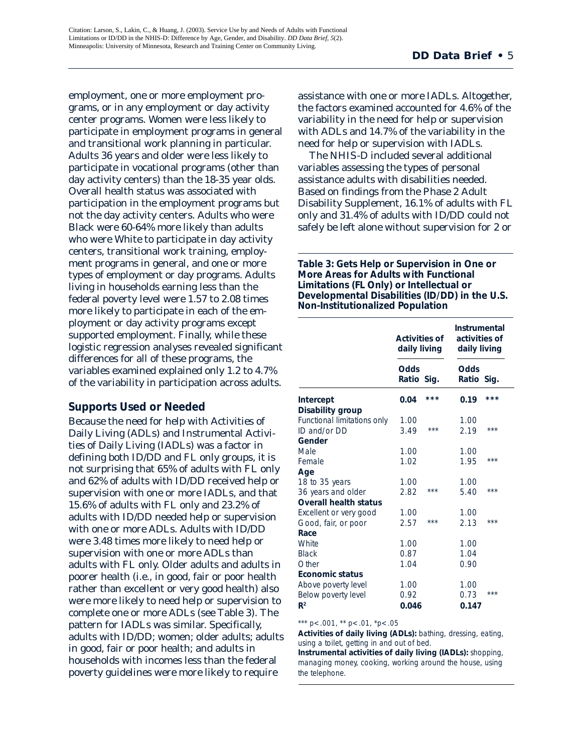employment, one or more employment programs, or in any employment or day activity center programs. Women were less likely to participate in employment programs in general and transitional work planning in particular. Adults 36 years and older were less likely to participate in vocational programs (other than day activity centers) than the 18-35 year olds. Overall health status was associated with participation in the employment programs but not the day activity centers. Adults who were Black were 60-64% more likely than adults who were White to participate in day activity centers, transitional work training, employment programs in general, and one or more types of employment or day programs. Adults living in households earning less than the federal poverty level were 1.57 to 2.08 times more likely to participate in each of the employment or day activity programs except supported employment. Finally, while these logistic regression analyses revealed significant differences for all of these programs, the variables examined explained only 1.2 to 4.7% of the variability in participation across adults.

#### **Supports Used or Needed**

Because the need for help with Activities of Daily Living (ADLs) and Instrumental Activities of Daily Living (IADLs) was a factor in defining both ID/DD and FL only groups, it is not surprising that 65% of adults with FL only and 62% of adults with ID/DD received help or supervision with one or more IADLs, and that 15.6% of adults with FL only and 23.2% of adults with ID/DD needed help or supervision with one or more ADLs. Adults with ID/DD were 3.48 times more likely to need help or supervision with one or more ADLs than adults with FL only. Older adults and adults in poorer health (i.e., in good, fair or poor health rather than excellent or very good health) also were more likely to need help or supervision to complete one or more ADLs (see Table 3). The pattern for IADLs was similar. Specifically, adults with ID/DD; women; older adults; adults in good, fair or poor health; and adults in households with incomes less than the federal poverty guidelines were more likely to require

assistance with one or more IADLs. Altogether, the factors examined accounted for 4.6% of the variability in the need for help or supervision with ADLs and 14.7% of the variability in the need for help or supervision with IADLs.

The NHIS-D included several additional variables assessing the types of personal assistance adults with disabilities needed. Based on findings from the Phase 2 Adult Disability Supplement, 16.1% of adults with FL only and 31.4% of adults with ID/DD could not safely be left alone without supervision for 2 or

**Table 3: Gets Help or Supervision in One or More Areas for Adults with Functional Limitations (FL Only) or Intellectual or Developmental Disabilities (ID/DD) in the U.S. Non-Institutionalized Population**

|                                                 | Activities of<br>daily living |       | Instrumental<br>activities of<br>daily living |       |
|-------------------------------------------------|-------------------------------|-------|-----------------------------------------------|-------|
|                                                 | Odds<br>Ratio Sig.            |       | Odds<br>Ratio Sig.                            |       |
| Intercept<br>Disability group                   | 0.04                          | ***   | 0.19                                          | ***   |
| Functional limitations only<br>$ID$ and/or $DD$ | 1.00<br>3.49                  | $***$ | 1.00<br>2.19                                  | ***   |
| Gender                                          |                               |       |                                               |       |
| Male                                            | 1.00                          |       | 1.00                                          |       |
| Female                                          | 1.02                          |       | 1.95                                          | $***$ |
| Age                                             |                               |       |                                               |       |
| 18 to 35 years                                  | 1.00                          |       | 1.00                                          |       |
| 36 years and older                              | 2.82                          | ***   | 5.40                                          | ***   |
| <b>Overall health status</b>                    |                               |       |                                               |       |
| Excellent or very good                          | 1.00                          |       | 1.00                                          |       |
| Good, fair, or poor                             | 2.57                          | $***$ | 2.13                                          | $***$ |
| Race                                            |                               |       |                                               |       |
| <b>White</b>                                    | 1.00                          |       | 1.00                                          |       |
| <b>Black</b>                                    | 0.87                          |       | 1.04                                          |       |
| Other                                           | 1.04                          |       | 0.90                                          |       |
| <b>Economic status</b>                          |                               |       |                                               |       |
| Above poverty level                             | 1.00                          |       | 1.00                                          |       |
| Below poverty level                             | 0.92                          |       | 0.73                                          | ***   |
| R <sup>2</sup>                                  | 0.046                         |       | 0.147                                         |       |

#### \*\*\*  $p < .001$ , \*\*  $p < .01$ , \* $p < .05$

**Activities of daily living (ADLs):** bathing, dressing, eating, using a toilet, getting in and out of bed.

**Instrumental activities of daily living (IADLs):** shopping, managing money, cooking, working around the house, using the telephone.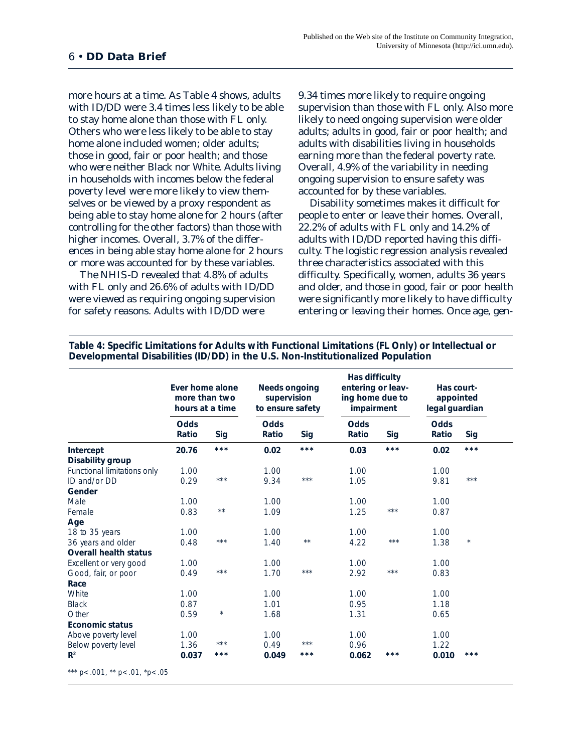more hours at a time. As Table 4 shows, adults with ID/DD were 3.4 times less likely to be able to stay home alone than those with FL only. Others who were less likely to be able to stay home alone included women; older adults; those in good, fair or poor health; and those who were neither Black nor White. Adults living in households with incomes below the federal poverty level were more likely to view themselves or be viewed by a proxy respondent as being able to stay home alone for 2 hours (after controlling for the other factors) than those with higher incomes. Overall, 3.7% of the differences in being able stay home alone for 2 hours or more was accounted for by these variables.

The NHIS-D revealed that 4.8% of adults with FL only and 26.6% of adults with ID/DD were viewed as requiring ongoing supervision for safety reasons. Adults with ID/DD were

9.34 times more likely to require ongoing supervision than those with FL only. Also more likely to need ongoing supervision were older adults; adults in good, fair or poor health; and adults with disabilities living in households earning more than the federal poverty rate. Overall, 4.9% of the variability in needing ongoing supervision to ensure safety was accounted for by these variables.

Disability sometimes makes it difficult for people to enter or leave their homes. Overall, 22.2% of adults with FL only and 14.2% of adults with ID/DD reported having this difficulty. The logistic regression analysis revealed three characteristics associated with this difficulty. Specifically, women, adults 36 years and older, and those in good, fair or poor health were significantly more likely to have difficulty entering or leaving their homes. Once age, gen-

|                               | Ever home alone<br>more than two<br>hours at a time |                   | <b>Needs ongoing</b><br>supervision<br>to ensure safety |                   | Has difficulty<br>entering or leav-<br>ing home due to<br>impairment |       | Has court-<br>appointed<br>legal guardian |         |
|-------------------------------|-----------------------------------------------------|-------------------|---------------------------------------------------------|-------------------|----------------------------------------------------------------------|-------|-------------------------------------------|---------|
|                               | <b>Odds</b><br>Ratio                                | Sig               | <b>Odds</b><br>Ratio                                    | Sig               | <b>Odds</b><br>Ratio                                                 | Sig   | <b>Odds</b><br>Ratio                      | Sig     |
| Intercept<br>Disability group | 20.76                                               | $***$             | 0.02                                                    | $***$             | 0.03                                                                 | $***$ | 0.02                                      | $***$   |
| Functional limitations only   | 1.00                                                |                   | 1.00                                                    |                   | 1.00                                                                 |       | 1.00                                      |         |
| ID and/or DD                  | 0.29                                                | $***$             | 9.34                                                    | $\star\star\star$ | 1.05                                                                 |       | 9.81                                      | $***$   |
| Gender                        |                                                     |                   |                                                         |                   |                                                                      |       |                                           |         |
| Male                          | 1.00                                                |                   | 1.00                                                    |                   | 1.00                                                                 |       | 1.00                                      |         |
| Female                        | 0.83                                                | $\star\star$      | 1.09                                                    |                   | 1.25                                                                 | $***$ | 0.87                                      |         |
| Age                           |                                                     |                   |                                                         |                   |                                                                      |       |                                           |         |
| 18 to 35 years                | 1.00                                                |                   | 1.00                                                    |                   | 1.00                                                                 |       | 1.00                                      |         |
| 36 years and older            | 0.48                                                | $***$             | 1.40                                                    | $\star\star$      | 4.22                                                                 | $***$ | 1.38                                      | $\star$ |
| <b>Overall health status</b>  |                                                     |                   |                                                         |                   |                                                                      |       |                                           |         |
| Excellent or very good        | 1.00                                                |                   | 1.00                                                    |                   | 1.00                                                                 |       | 1.00                                      |         |
| Good, fair, or poor           | 0.49                                                | $\star\star\star$ | 1.70                                                    | $\star\star\star$ | 2.92                                                                 | $***$ | 0.83                                      |         |
| Race                          |                                                     |                   |                                                         |                   |                                                                      |       |                                           |         |
| White                         | 1.00                                                |                   | 1.00                                                    |                   | 1.00                                                                 |       | 1.00                                      |         |
| <b>Black</b>                  | 0.87                                                |                   | 1.01                                                    |                   | 0.95                                                                 |       | 1.18                                      |         |
| Other                         | 0.59                                                | $^{\star}$        | 1.68                                                    |                   | 1.31                                                                 |       | 0.65                                      |         |
| Economic status               |                                                     |                   |                                                         |                   |                                                                      |       |                                           |         |
| Above poverty level           | 1.00                                                |                   | 1.00                                                    |                   | 1.00                                                                 |       | 1.00                                      |         |
| Below poverty level           | 1.36                                                | $***$             | 0.49                                                    | $***$             | 0.96                                                                 |       | 1.22                                      |         |
| R <sup>2</sup>                | 0.037                                               | $***$             | 0.049                                                   | ***               | 0.062                                                                | ***   | 0.010                                     | $***$   |

**Table 4: Specific Limitations for Adults with Functional Limitations (FL Only) or Intellectual or Developmental Disabilities (ID/DD) in the U.S. Non-Institutionalized Population**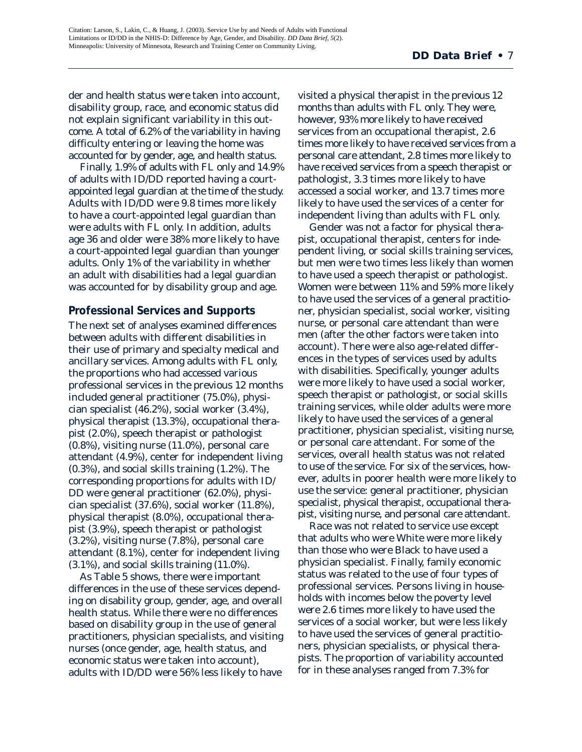der and health status were taken into account, disability group, race, and economic status did not explain significant variability in this outcome. A total of 6.2% of the variability in having difficulty entering or leaving the home was accounted for by gender, age, and health status.

Finally, 1.9% of adults with FL only and 14.9% of adults with ID/DD reported having a courtappointed legal guardian at the time of the study. Adults with ID/DD were 9.8 times more likely to have a court-appointed legal guardian than were adults with FL only. In addition, adults age 36 and older were 38% more likely to have a court-appointed legal guardian than younger adults. Only 1% of the variability in whether an adult with disabilities had a legal guardian was accounted for by disability group and age.

#### **Professional Services and Supports**

The next set of analyses examined differences between adults with different disabilities in their use of primary and specialty medical and ancillary services. Among adults with FL only, the proportions who had accessed various professional services in the previous 12 months included general practitioner (75.0%), physician specialist (46.2%), social worker (3.4%), physical therapist (13.3%), occupational therapist (2.0%), speech therapist or pathologist (0.8%), visiting nurse (11.0%), personal care attendant (4.9%), center for independent living (0.3%), and social skills training (1.2%). The corresponding proportions for adults with ID/ DD were general practitioner (62.0%), physician specialist (37.6%), social worker (11.8%), physical therapist (8.0%), occupational therapist (3.9%), speech therapist or pathologist (3.2%), visiting nurse (7.8%), personal care attendant (8.1%), center for independent living (3.1%), and social skills training (11.0%).

As Table 5 shows, there were important differences in the use of these services depending on disability group, gender, age, and overall health status. While there were no differences based on disability group in the use of general practitioners, physician specialists, and visiting nurses (once gender, age, health status, and economic status were taken into account), adults with ID/DD were 56% less likely to have

visited a physical therapist in the previous 12 months than adults with FL only. They were, however, 93% more likely to have received services from an occupational therapist, 2.6 times more likely to have received services from a personal care attendant, 2.8 times more likely to have received services from a speech therapist or pathologist, 3.3 times more likely to have accessed a social worker, and 13.7 times more likely to have used the services of a center for independent living than adults with FL only.

Gender was not a factor for physical therapist, occupational therapist, centers for independent living, or social skills training services, but men were two times less likely than women to have used a speech therapist or pathologist. Women were between 11% and 59% more likely to have used the services of a general practitioner, physician specialist, social worker, visiting nurse, or personal care attendant than were men (after the other factors were taken into account). There were also age-related differences in the types of services used by adults with disabilities. Specifically, younger adults were more likely to have used a social worker, speech therapist or pathologist, or social skills training services, while older adults were more likely to have used the services of a general practitioner, physician specialist, visiting nurse, or personal care attendant. For some of the services, overall health status was not related to use of the service. For six of the services, however, adults in poorer health were more likely to use the service: general practitioner, physician specialist, physical therapist, occupational therapist, visiting nurse, and personal care attendant.

Race was not related to service use except that adults who were White were more likely than those who were Black to have used a physician specialist. Finally, family economic status was related to the use of four types of professional services. Persons living in households with incomes below the poverty level were 2.6 times more likely to have used the services of a social worker, but were less likely to have used the services of general practitioners, physician specialists, or physical therapists. The proportion of variability accounted for in these analyses ranged from 7.3% for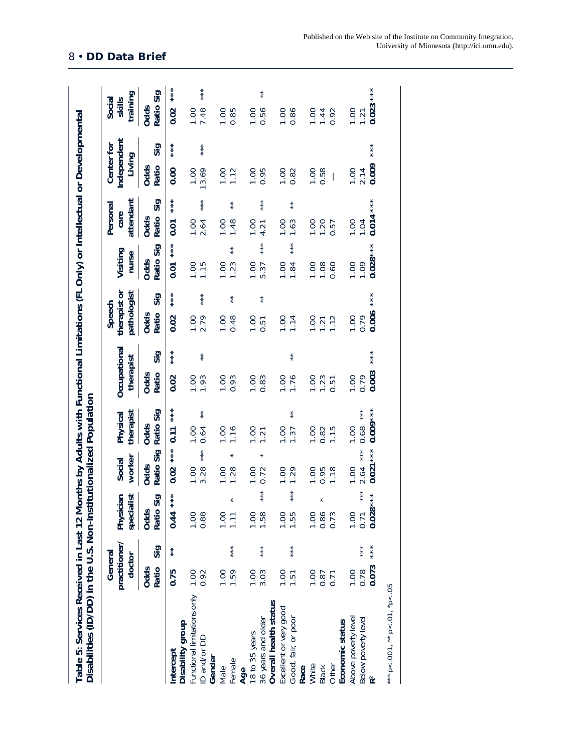| Disabilities (ID/DD) in the U.S. Non-Institutionalized Population      |                                    |         |                                         |                                   |                                   |                                    |                                       |                            |                               |                                     |                              |
|------------------------------------------------------------------------|------------------------------------|---------|-----------------------------------------|-----------------------------------|-----------------------------------|------------------------------------|---------------------------------------|----------------------------|-------------------------------|-------------------------------------|------------------------------|
|                                                                        | practitioner/<br>General<br>doctor |         | specialist<br>Physician                 | worker<br>Social                  | therapist<br>Physical             | Occupational<br>therapist          | pathologist<br>therapist or<br>Speech | Visiting<br>nurse          | attendant<br>Personal<br>care | Independent<br>Center for<br>Living | training<br>Social<br>skills |
|                                                                        | Ratio<br>Odds                      | Sig     | Sig<br><b>Odds</b><br>Ratio             | Ratio Sig<br>Odds                 | Ratio Sig<br>Odds                 | Sig<br>Ratio<br>Odds               | Sig<br>Ratio<br>Odds                  | Sig<br>Ratio<br>Odds       | Sig<br>Ratio<br>Odds          | Sig<br>Ratio<br>Odds                | Sig<br>Ratio<br>Odds         |
| Disability group<br>Intercept                                          | 0.75                               | $* * *$ | $***$<br>0.44                           | $***$<br>0.02                     | $***$<br>0.11                     | 0.02                               | 0.02                                  | $***$<br>0.01              | 0.01                          | 0.00                                | 0.02                         |
| Functional limitations only<br>D and/or DD<br>Gender                   | 1.00<br>0.92                       |         | <b>001</b><br>0.88                      | ***<br>3.28<br>1.00               | $*$<br>1.00<br>0.64               | $*$<br>1.00<br>1.93                | ***<br><b>001</b><br>2.79             | 1.00<br>1.15               | ***<br>1.00<br>2.64           | ***<br>13.69<br>1.00                | ***<br>7.48                  |
| Female<br>Male                                                         | 1.59<br>1.00                       | $* * *$ | <b>00.1</b><br>$\overline{11}$          | $\star$<br>1.00<br>1.28           | 1.16                              | 1.00<br>0.93                       | $\ast$<br>1.00<br>0.48                | $\ast$<br>1.23<br>1.00     | $\ast$<br>1.00<br>1.48        | <b>00.1</b><br>1.12                 | 1.00<br>0.85                 |
| 18 to 35 years<br>36 years and older<br>Age                            | 1.00<br>3.03                       | ***     | ***<br>$00 -$<br>1.58                   | $\star$<br>1.00<br>0.72           | $1.00$<br>$1.21$                  | 1.00<br>0.83                       | $\ast$<br>1.00<br>0.51                | $* * *$<br>1.00<br>5.37    | $* * *$<br>1.00<br>4.21       | 1.00<br>0.95                        | $\ast$<br>1.00<br>0.56       |
| Overall health status<br>Excellent or very good<br>Good, fair, or poor | <b>DO:1</b><br>1.51                | $* * *$ | $* * *$<br>00.1<br>1.55                 | 1.00<br>1.29                      | 1.00<br>1.37                      | $\ast$<br><b>001</b><br>1.76       | 1.14                                  | $* * *$<br>1.84<br>1.00    | $\ast$<br>00.1<br>1.63        | 00.1<br>0.82                        | 1.00<br>0.86                 |
| Other<br>White<br><b>Black</b><br>Race                                 | 1.00<br>0.87<br>0.71               |         | $\ast$<br>1.00<br>0.86<br>0.73          | 1.00<br>1.18<br>0.95              | 1.00<br>1.15<br>0.82              | 1.00<br>1.23<br>$\overline{5}$     | $1.20$<br>$1.72$<br>$1.12$            | 1.00<br>1.08<br>0.60       | 1.00<br>1.20<br>0.57          | 1.00<br>0.58                        | 1.00<br>0.92<br>1.44         |
| Above poverty level<br>Below poverty level<br>Economic status          | 0.073<br>1.00<br>0.78              | ***     | ***<br>$* * *$<br>0.028<br>1.00<br>0.71 | $0.021***$<br>***<br>2.64<br>00.1 | $0.009***$<br>***<br>0.68<br>1.00 | $* * * *$<br>0.003<br>1.00<br>0.79 | ***<br>0.006<br>1.00<br>0.79          | $0.028***$<br>1.00<br>1.09 | $0.014***$<br>1.00<br>1.04    | $* * * *$<br>0.009<br>2.14<br>1.00  | $0.023***$<br>1.00<br>1.21   |
| *** $p < .001$ , ** $p < .01$ , * $p < .05$                            |                                    |         |                                         |                                   |                                   |                                    |                                       |                            |                               |                                     |                              |

8 • **DD Data Brief**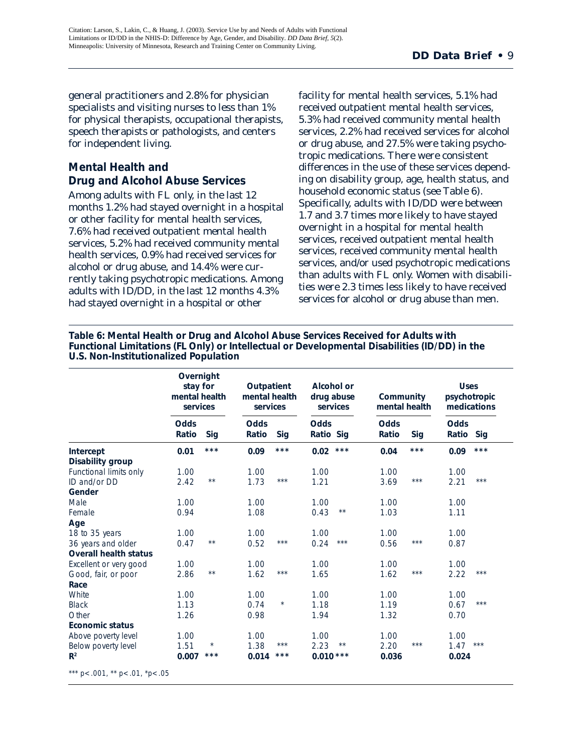general practitioners and 2.8% for physician specialists and visiting nurses to less than 1% for physical therapists, occupational therapists, speech therapists or pathologists, and centers for independent living.

#### **Mental Health and Drug and Alcohol Abuse Services**

Among adults with FL only, in the last 12 months 1.2% had stayed overnight in a hospital or other facility for mental health services, 7.6% had received outpatient mental health services, 5.2% had received community mental health services, 0.9% had received services for alcohol or drug abuse, and 14.4% were currently taking psychotropic medications. Among adults with ID/DD, in the last 12 months 4.3% had stayed overnight in a hospital or other

facility for mental health services, 5.1% had received outpatient mental health services, 5.3% had received community mental health services, 2.2% had received services for alcohol or drug abuse, and 27.5% were taking psychotropic medications. There were consistent differences in the use of these services depending on disability group, age, health status, and household economic status (see Table 6). Specifically, adults with ID/DD were between 1.7 and 3.7 times more likely to have stayed overnight in a hospital for mental health services, received outpatient mental health services, received community mental health services, and/or used psychotropic medications than adults with FL only. Women with disabilities were 2.3 times less likely to have received services for alcohol or drug abuse than men.

**Table 6: Mental Health or Drug and Alcohol Abuse Services Received for Adults with Functional Limitations (FL Only) or Intellectual or Developmental Disabilities (ID/DD) in the U.S. Non-Institutionalized Population**

|                              | Overnight<br>stay for<br>mental health<br>services |                | Outpatient<br>mental health<br>services |         | Alcohol or<br>drug abuse | services       | Community<br>mental health |       | <b>Uses</b><br>psychotropic<br>medications |                   |
|------------------------------|----------------------------------------------------|----------------|-----------------------------------------|---------|--------------------------|----------------|----------------------------|-------|--------------------------------------------|-------------------|
|                              | Odds<br>Ratio                                      | Sig            | Odds<br>Ratio                           | Sig     | <b>Odds</b><br>Ratio Sig |                | Odds<br>Ratio              | Sig   | <b>Odds</b><br>Ratio                       | Sig               |
| Intercept                    | 0.01                                               | $***$          | 0.09                                    | $***$   | 0.02                     | $***$          | 0.04                       | $***$ | 0.09                                       | $***$             |
| Disability group             |                                                    |                |                                         |         |                          |                |                            |       |                                            |                   |
| Functional limits only       | 1.00                                               |                | 1.00                                    |         | 1.00                     |                | 1.00                       |       | 1.00                                       |                   |
| ID and/or DD                 | 2.42                                               | $\star\,\star$ | 1.73                                    | $***$   | 1.21                     |                | 3.69                       | $***$ | 2.21                                       | $***$             |
| Gender                       |                                                    |                |                                         |         |                          |                |                            |       |                                            |                   |
| Male                         | 1.00                                               |                | 1.00                                    |         | 1.00                     |                | 1.00                       |       | 1.00                                       |                   |
| Female                       | 0.94                                               |                | 1.08                                    |         | 0.43                     | $\star\,\star$ | 1.03                       |       | 1.11                                       |                   |
| Age                          |                                                    |                |                                         |         |                          |                |                            |       |                                            |                   |
| 18 to 35 years               | 1.00                                               |                | 1.00                                    |         | 1.00                     |                | 1.00                       |       | 1.00                                       |                   |
| 36 years and older           | 0.47                                               | $\star\,\star$ | 0.52                                    | $***$   | 0.24                     | $***$          | 0.56                       | $***$ | 0.87                                       |                   |
| <b>Overall health status</b> |                                                    |                |                                         |         |                          |                |                            |       |                                            |                   |
| Excellent or very good       | 1.00                                               |                | 1.00                                    |         | 1.00                     |                | 1.00                       |       | 1.00                                       |                   |
| Good, fair, or poor          | 2.86                                               | $\star\star$   | 1.62                                    | $***$   | 1.65                     |                | 1.62                       | $***$ | 2.22                                       | $***$             |
| Race                         |                                                    |                |                                         |         |                          |                |                            |       |                                            |                   |
| White                        | 1.00                                               |                | 1.00                                    |         | 1.00                     |                | 1.00                       |       | 1.00                                       |                   |
| <b>Black</b>                 | 1.13                                               |                | 0.74                                    | $\star$ | 1.18                     |                | 1.19                       |       | 0.67                                       | $***$             |
| Other                        | 1.26                                               |                | 0.98                                    |         | 1.94                     |                | 1.32                       |       | 0.70                                       |                   |
| <b>Economic status</b>       |                                                    |                |                                         |         |                          |                |                            |       |                                            |                   |
| Above poverty level          | 1.00                                               |                | 1.00                                    |         | 1.00                     |                | 1.00                       |       | 1.00                                       |                   |
| Below poverty level          | 1.51                                               | $\star$        | 1.38                                    | ***     | 2.23                     | $\star\,\star$ | 2.20                       | $***$ | 1.47                                       | $\star\star\star$ |
| R <sup>2</sup>               | 0.007                                              | ***            | 0.014                                   | $***$   | $0.010***$               |                | 0.036                      |       | 0.024                                      |                   |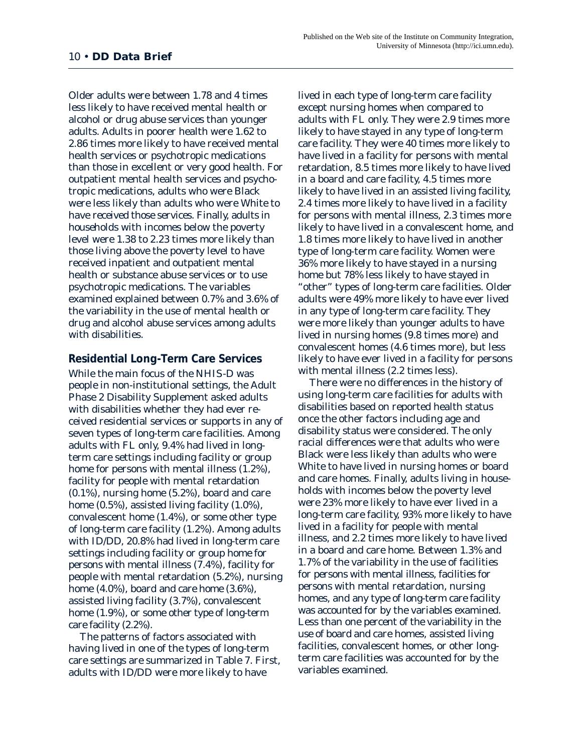Older adults were between 1.78 and 4 times less likely to have received mental health or alcohol or drug abuse services than younger adults. Adults in poorer health were 1.62 to 2.86 times more likely to have received mental health services or psychotropic medications than those in excellent or very good health. For outpatient mental health services and psychotropic medications, adults who were Black were less likely than adults who were White to have received those services. Finally, adults in households with incomes below the poverty level were 1.38 to 2.23 times more likely than those living above the poverty level to have received inpatient and outpatient mental health or substance abuse services or to use psychotropic medications. The variables examined explained between 0.7% and 3.6% of the variability in the use of mental health or drug and alcohol abuse services among adults with disabilities.

#### **Residential Long-Term Care Services**

While the main focus of the NHIS-D was people in non-institutional settings, the Adult Phase 2 Disability Supplement asked adults with disabilities whether they had ever received residential services or supports in any of seven types of long-term care facilities. Among adults with FL only, 9.4% had lived in longterm care settings including facility or group home for persons with mental illness (1.2%), facility for people with mental retardation (0.1%), nursing home (5.2%), board and care home (0.5%), assisted living facility (1.0%), convalescent home (1.4%), or some other type of long-term care facility (1.2%). Among adults with ID/DD, 20.8% had lived in long-term care settings including facility or group home for persons with mental illness (7.4%), facility for people with mental retardation (5.2%), nursing home (4.0%), board and care home (3.6%), assisted living facility (3.7%), convalescent home (1.9%), or some other type of long-term care facility (2.2%).

The patterns of factors associated with having lived in one of the types of long-term care settings are summarized in Table 7. First, adults with ID/DD were more likely to have

lived in each type of long-term care facility except nursing homes when compared to adults with FL only. They were 2.9 times more likely to have stayed in any type of long-term care facility. They were 40 times more likely to have lived in a facility for persons with mental retardation, 8.5 times more likely to have lived in a board and care facility, 4.5 times more likely to have lived in an assisted living facility, 2.4 times more likely to have lived in a facility for persons with mental illness, 2.3 times more likely to have lived in a convalescent home, and 1.8 times more likely to have lived in another type of long-term care facility. Women were 36% more likely to have stayed in a nursing home but 78% less likely to have stayed in "other" types of long-term care facilities. Older adults were 49% more likely to have ever lived in any type of long-term care facility. They were more likely than younger adults to have lived in nursing homes (9.8 times more) and convalescent homes (4.6 times more), but less likely to have ever lived in a facility for persons with mental illness (2.2 times less).

There were no differences in the history of using long-term care facilities for adults with disabilities based on reported health status once the other factors including age and disability status were considered. The only racial differences were that adults who were Black were less likely than adults who were White to have lived in nursing homes or board and care homes. Finally, adults living in households with incomes below the poverty level were 23% more likely to have ever lived in a long-term care facility, 93% more likely to have lived in a facility for people with mental illness, and 2.2 times more likely to have lived in a board and care home. Between 1.3% and 1.7% of the variability in the use of facilities for persons with mental illness, facilities for persons with mental retardation, nursing homes, and any type of long-term care facility was accounted for by the variables examined. Less than one percent of the variability in the use of board and care homes, assisted living facilities, convalescent homes, or other longterm care facilities was accounted for by the variables examined.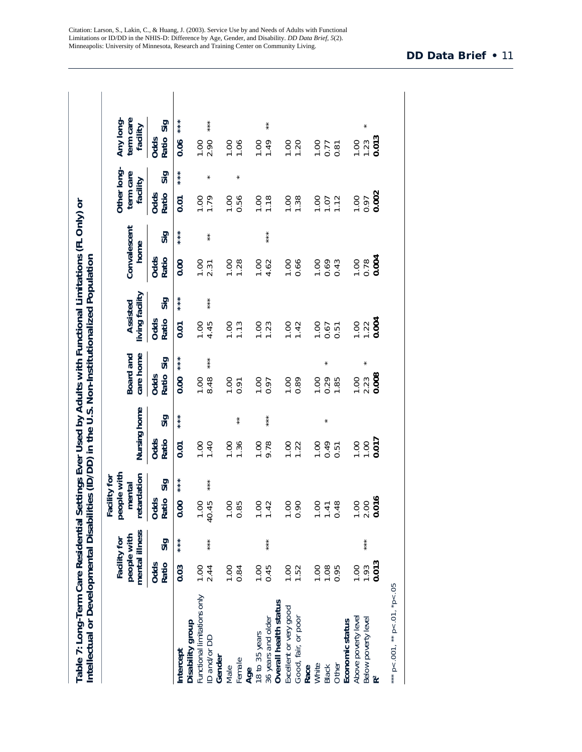| mental illness<br>Sig<br><b>Odds</b><br>Ratio<br>0.03<br>1.00<br>unctional limitations only<br>Disability group<br>ntercept |                                         | people with<br>etardation<br>Facility for<br>mental | Nursing home          |       | Board and                          | Assisted                            |         | Convalescent            |        | Other long-<br>term care<br>facility                 |           | term care<br>Any long<br>facility                   |  |
|-----------------------------------------------------------------------------------------------------------------------------|-----------------------------------------|-----------------------------------------------------|-----------------------|-------|------------------------------------|-------------------------------------|---------|-------------------------|--------|------------------------------------------------------|-----------|-----------------------------------------------------|--|
|                                                                                                                             | Ratio<br>Odds                           | Sig                                                 | Odds<br>Ratio         | Sig   | care home<br>Sig<br>Ratio<br>Odds  | living facility<br>Ratio<br>Odds    | Sig     | home<br>Odds<br>Ratio   | Sig    | Odds<br>Ratio                                        | Sig       | Sig<br>Ratio<br>Odds                                |  |
|                                                                                                                             | 0.00                                    | $* * *$                                             | 0.01                  |       | $* * * *$<br>0.00                  | <b>0.01</b>                         |         | 0.00                    | ***    | <b>0.01</b>                                          | $* * * *$ | $* * * *$<br>0.06                                   |  |
| ***<br>2.44<br>D and/or DD                                                                                                  | $-45$<br>$\overline{0}$<br>$\triangleq$ | ***                                                 | 1.00<br>1.40          |       | $***$<br>8.48<br><b>00.1</b>       | 4.45<br>1.00                        | $* * *$ | 1.00<br>2.31            | $\ast$ | 1.79                                                 | $\star$   | ***<br>1.00                                         |  |
| 1.00<br>0.84<br>Gender<br>emale<br>Male                                                                                     | OO.<br>85                               |                                                     | <b>00.1</b><br>1.36   | $* *$ | <b>001</b><br>0.91                 | 1.13                                |         | <b>OO.1</b><br>1.28     |        | <b>00.1</b><br>0.56                                  |           | 1.00<br>1.06                                        |  |
| ***<br>0.45<br>1.00<br>36 years and older<br>8 to 35 years<br>Age                                                           | OO.<br>42                               |                                                     | $\frac{0.00}{9.78}$   | ***   | 1.000                              | $1.00$<br>$1.23$                    |         | $1.00$<br>4.62          | ***    | $\frac{8}{1.18}$                                     |           | $\star$<br>1.49                                     |  |
| 1.00<br>1.52<br>Overall health status<br>Excellent or very good<br>Good, fair, or poor                                      | OO.<br>OÓ.                              |                                                     | <b>00.1</b><br>1.22   |       | 0.89<br>1.00                       | $1.00$<br>$1.42$                    |         | <b>00.1</b><br>0.66     |        | $\frac{100}{1.38}$                                   |           | 1.00                                                |  |
| 1.08<br>00.1<br>0.95<br>Other<br>White<br><b>Black</b><br>Race                                                              | 48<br>OO.<br>$\overline{4}$             |                                                     | 1.00<br>0.51<br>0.51  |       | 0.29<br>00.1                       | <b>OC.1</b><br>$0.67$<br>0.51       |         | $-0.43$                 |        | $1.00$<br>$1.12$<br>$1.12$                           |           | $\begin{array}{c} 7.80 \\ 0.71 \\ 0.81 \end{array}$ |  |
| ***<br>0.013<br><b>00.1</b><br>1.93<br>Above poverty level<br>Below poverty level<br>Economic status                        | 016<br>OO.<br>2.00                      |                                                     | 0.017<br>00.1<br>0.00 |       | $\star$<br>$2.23$<br>0.008<br>1.00 | $\frac{1.22}{0.004}$<br><b>OO.1</b> |         | $0.78$<br>0.004<br>1.00 |        | $\begin{array}{c} 1.00 \\ 0.97 \\ 0.002 \end{array}$ |           | $\star$<br>$\frac{1.23}{0.013}$<br><b>00.1</b>      |  |

Citation: Larson, S., Lakin, C., & Huang, J. (2003). Service Use by and Needs of Adults with Functional Limitations or ID/DD in the NHIS-D: Difference by Age, Gender, and Disability. *DD Data Brief, 5*(2). Minneapolis: University of Minnesota, Research and Training Center on Community Living.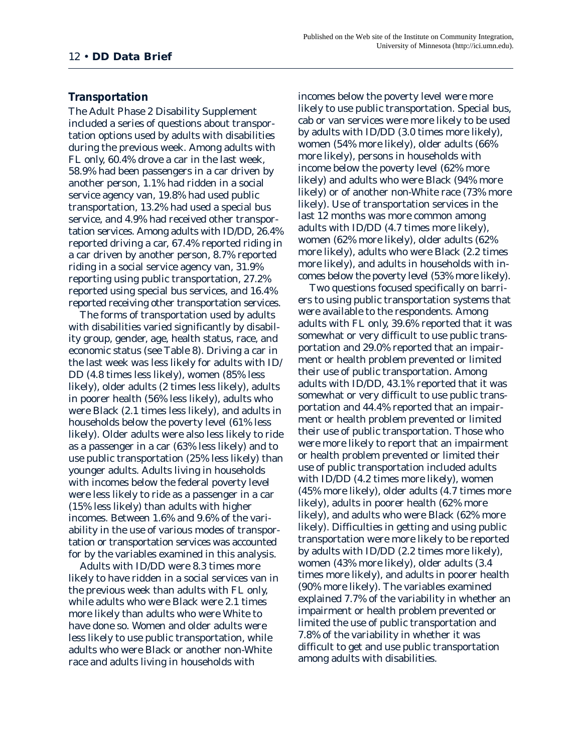#### **Transportation**

The Adult Phase 2 Disability Supplement included a series of questions about transportation options used by adults with disabilities during the previous week. Among adults with FL only, 60.4% drove a car in the last week, 58.9% had been passengers in a car driven by another person, 1.1% had ridden in a social service agency van, 19.8% had used public transportation, 13.2% had used a special bus service, and 4.9% had received other transportation services. Among adults with ID/DD, 26.4% reported driving a car, 67.4% reported riding in a car driven by another person, 8.7% reported riding in a social service agency van, 31.9% reporting using public transportation, 27.2% reported using special bus services, and 16.4% reported receiving other transportation services.

The forms of transportation used by adults with disabilities varied significantly by disability group, gender, age, health status, race, and economic status (see Table 8). Driving a car in the last week was less likely for adults with ID/ DD (4.8 times less likely), women (85% less likely), older adults (2 times less likely), adults in poorer health (56% less likely), adults who were Black (2.1 times less likely), and adults in households below the poverty level (61% less likely). Older adults were also less likely to ride as a passenger in a car (63% less likely) and to use public transportation (25% less likely) than younger adults. Adults living in households with incomes below the federal poverty level were less likely to ride as a passenger in a car (15% less likely) than adults with higher incomes. Between 1.6% and 9.6% of the variability in the use of various modes of transportation or transportation services was accounted for by the variables examined in this analysis.

Adults with ID/DD were 8.3 times more likely to have ridden in a social services van in the previous week than adults with FL only, while adults who were Black were 2.1 times more likely than adults who were White to have done so. Women and older adults were less likely to use public transportation, while adults who were Black or another non-White race and adults living in households with

incomes below the poverty level were more likely to use public transportation. Special bus, cab or van services were more likely to be used by adults with ID/DD (3.0 times more likely), women (54% more likely), older adults (66% more likely), persons in households with income below the poverty level (62% more likely) and adults who were Black (94% more likely) or of another non-White race (73% more likely). Use of transportation services in the last 12 months was more common among adults with ID/DD (4.7 times more likely), women (62% more likely), older adults (62% more likely), adults who were Black (2.2 times more likely), and adults in households with incomes below the poverty level (53% more likely).

Two questions focused specifically on barriers to using public transportation systems that were available to the respondents. Among adults with FL only, 39.6% reported that it was somewhat or very difficult to use public transportation and 29.0% reported that an impairment or health problem prevented or limited their use of public transportation. Among adults with ID/DD, 43.1% reported that it was somewhat or very difficult to use public transportation and 44.4% reported that an impairment or health problem prevented or limited their use of public transportation. Those who were more likely to report that an impairment or health problem prevented or limited their use of public transportation included adults with ID/DD (4.2 times more likely), women (45% more likely), older adults (4.7 times more likely), adults in poorer health (62% more likely), and adults who were Black (62% more likely). Difficulties in getting and using public transportation were more likely to be reported by adults with ID/DD (2.2 times more likely), women (43% more likely), older adults (3.4 times more likely), and adults in poorer health (90% more likely). The variables examined explained 7.7% of the variability in whether an impairment or health problem prevented or limited the use of public transportation and 7.8% of the variability in whether it was difficult to get and use public transportation among adults with disabilities.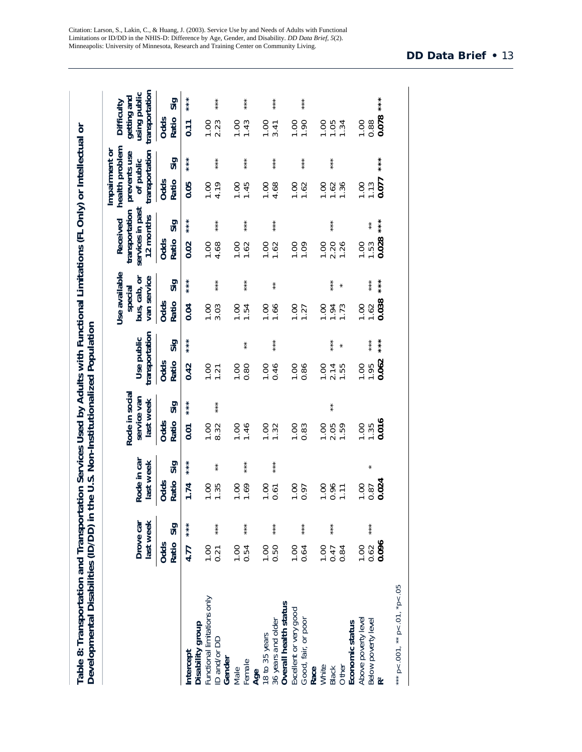|                                                                        | last week<br>Drove car      |         | Rode in car<br>last week               | Rode in socia<br>service van<br>last week | transportation<br>Use public               | Use available<br>van service<br>bus, cab, or<br>special | services in past<br>transportation<br>12 months<br>Received | health problem<br>Impairment or<br>transportation<br>prevents use<br>of public | transportation<br>using public<br>getting and<br>Difficulty |
|------------------------------------------------------------------------|-----------------------------|---------|----------------------------------------|-------------------------------------------|--------------------------------------------|---------------------------------------------------------|-------------------------------------------------------------|--------------------------------------------------------------------------------|-------------------------------------------------------------|
|                                                                        | Ratio<br><b>Odds</b>        | Sig     | Sig<br>Odds<br>Ratio                   | Sig<br><b>Odds</b><br>Ratio               | Sig<br>Odds<br>Ratio                       | Sig<br>Odds<br>Ratio                                    | Sig<br>Odds<br>Ratio                                        | Sig<br>Odds<br>Ratio                                                           | Sig<br>Ratio<br>Odds                                        |
| Disability group<br>Intercept                                          | 4.77                        |         | 1.74                                   | 0.01                                      | 0.42                                       | 0.04                                                    | 0.02                                                        | 0.05                                                                           | $\overline{0.11}$                                           |
| Functional limitations only<br>D and/or DD                             | 1.00<br>0.21                | $* * *$ | $\ast$<br>1.35<br>1.00                 | ***<br>8.32<br>1.00                       | 1.00<br>1.21                               | ***<br>3.03<br><b>00.1</b>                              | ***<br>4.68<br>00.1                                         | ***<br>4.19<br>1.00                                                            | $* * *$<br>$1.000$<br>2.23                                  |
| Gender<br>Female<br>Male                                               | 00.1<br>0.54                | $* * *$ | $* * *$<br>1.69<br><b>00.1</b>         | 1.00<br>1.46                              | $\ast$<br>0.80<br>1.00                     | $* * *$<br>1.00<br>1.54                                 | ***<br>1.00<br>1.62                                         | $* * *$<br>1.45<br>00.1                                                        | $* * *$<br>00.1<br>1.43                                     |
| 36 years and older<br>Age<br>18 to 35 years                            | 0.50<br>1.00                | ***     | $* * *$<br>1.00<br>0.61                | 1.32<br>00.1                              | ***<br>0.46<br>1.00                        | $* *$<br>1.66<br>00.1                                   | ***<br>1.00<br>1.62                                         | ***<br>4.68<br>1.00                                                            | ***<br><b>00.1</b><br>3.41                                  |
| Overall health status<br>Excellent or very good<br>Good, fair, or poor | 00.1<br>0.64                | ***     | 1.00<br>0.97                           | 1.00<br>0.83                              | 1.00<br>0.86                               | <b>00.1</b><br>1.27                                     | 00.1<br>1.09                                                | ***<br>00.1<br>1.62                                                            | ***<br><b>00.1</b><br>1.90                                  |
| Economic status<br>White<br>Other<br>Race<br><b>Black</b>              | <b>00.1</b><br>0.84<br>0.47 | $* * *$ | 0.96<br><b>00.1</b><br>$\overline{11}$ | $\star$<br>2.05<br>1.59<br>1.00           | $* * *$<br>$\star$<br>1.55<br>00.1<br>2.14 | $* * *$<br>$\star$<br>00.1<br>1.94<br>1.73              | $* * *$<br>1.26<br>1.00<br>2.20                             | $* * *$<br>1.36<br>$\frac{1}{2}$<br>1.62                                       | 1.00<br>1.05<br>1.34                                        |
| Above poverty level<br>Below poverty level<br>R <sup>2</sup>           | 0.096<br>0.62<br>00.1       | ***     | $\star$<br>0.024<br>1.00<br>0.87       | 0.016<br>1.00<br>1.35                     | $* * *$<br>***<br>0.062<br>1.00<br>1.95    | $* * *$<br>0.038<br>0.00<br>1.62                        | $* * *$<br>$\ast$<br>0.028<br>1.00<br>1.53                  | ***<br>0.077<br>$00 -$<br>1.13                                                 | ***<br>0.078<br>1.00<br>0.88                                |
| *** $p < .001$ , ** $p < .01$ , *p<.05                                 |                             |         |                                        |                                           |                                            |                                                         |                                                             |                                                                                |                                                             |

Citation: Larson, S., Lakin, C., & Huang, J. (2003). Service Use by and Needs of Adults with Functional Limitations or ID/DD in the NHIS-D: Difference by Age, Gender, and Disability. *DD Data Brief, 5*(2). Minneapolis: University of Minnesota, Research and Training Center on Community Living.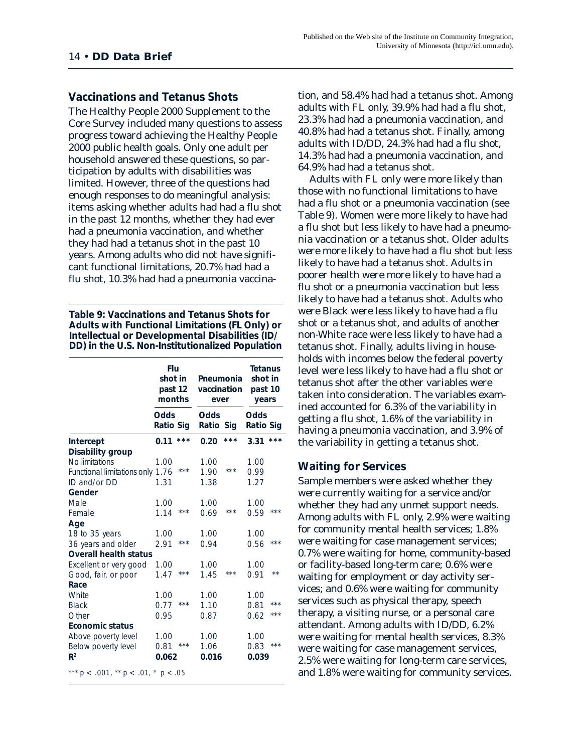#### **Vaccinations and Tetanus Shots**

The Healthy People 2000 Supplement to the Core Survey included many questions to assess progress toward achieving the Healthy People 2000 public health goals. Only one adult per household answered these questions, so participation by adults with disabilities was limited. However, three of the questions had enough responses to do meaningful analysis: items asking whether adults had had a flu shot in the past 12 months, whether they had ever had a pneumonia vaccination, and whether they had had a tetanus shot in the past 10 years. Among adults who did not have significant functional limitations, 20.7% had had a flu shot, 10.3% had had a pneumonia vaccina-

**Table 9: Vaccinations and Tetanus Shots for Adults with Functional Limitations (FL Only) or Intellectual or Developmental Disabilities (ID/ DD) in the U.S. Non-Institutionalized Population**

|                                             | Flu<br>shot in<br>past 12<br>months |     | Pneumonia<br>vaccination<br>ever |       | <b>Tetanus</b><br>shot in<br>past 10<br>years |              |
|---------------------------------------------|-------------------------------------|-----|----------------------------------|-------|-----------------------------------------------|--------------|
|                                             | Odds<br><b>Ratio Sig</b>            |     | <b>Odds</b><br>Ratio Sig         |       | <b>Odds</b><br><b>Ratio Sig</b>               |              |
| Intercept                                   | 0.11                                | *** | 0.20                             | ***   | 3.31                                          | ***          |
| Disability group                            |                                     |     |                                  |       |                                               |              |
| No limitations                              | 1.00                                |     | 1.00                             |       | 1.00                                          |              |
| Functional limitations only                 | 1.76                                | *** | 1.90                             | ***   | 0.99                                          |              |
| ID and/or DD                                | 1.31                                |     | 1.38                             |       | 1.27                                          |              |
| Gender                                      |                                     |     |                                  |       |                                               |              |
| Male                                        | 1.00                                |     | 1.00                             |       | 1.00                                          |              |
| Female                                      | 1.14                                | *** | 0.69                             | $***$ | 0.59                                          | ***          |
| Age                                         |                                     |     |                                  |       |                                               |              |
| 18 to 35 years                              | 1.00                                |     | 1.00                             |       | 1.00                                          |              |
| 36 years and older                          | 2.91                                | *** | 0.94                             |       | 0.56                                          | ***          |
| <b>Overall health status</b>                |                                     |     |                                  |       |                                               |              |
| Excellent or very good                      | 1.00                                |     | 1.00                             |       | 1.00                                          |              |
| Good, fair, or poor                         | 1.47                                | *** | 1.45                             | ***   | 0.91                                          | $\star\star$ |
| Race                                        |                                     |     |                                  |       |                                               |              |
| White                                       | 1.00                                |     | 1.00                             |       | 1.00                                          |              |
| <b>Black</b>                                | 0.77                                | *** | 1.10                             |       | 0.81                                          | ***          |
| Other                                       | 0.95                                |     | 0.87                             |       | 0.62                                          | ***          |
| <b>Economic status</b>                      |                                     |     |                                  |       |                                               |              |
| Above poverty level                         | 1.00                                |     | 1.00                             |       | 1.00                                          |              |
| Below poverty level                         | 0.81                                | *** | 1.06                             |       | 0.83                                          | ***          |
| R <sup>2</sup>                              | 0.062                               |     | 0.016                            |       | 0.039                                         |              |
| *** $p < .001$ , ** $p < .01$ , * $p < .05$ |                                     |     |                                  |       |                                               |              |

tion, and 58.4% had had a tetanus shot. Among adults with FL only, 39.9% had had a flu shot, 23.3% had had a pneumonia vaccination, and 40.8% had had a tetanus shot. Finally, among adults with ID/DD, 24.3% had had a flu shot, 14.3% had had a pneumonia vaccination, and 64.9% had had a tetanus shot.

Adults with FL only were more likely than those with no functional limitations to have had a flu shot or a pneumonia vaccination (see Table 9). Women were more likely to have had a flu shot but less likely to have had a pneumonia vaccination or a tetanus shot. Older adults were more likely to have had a flu shot but less likely to have had a tetanus shot. Adults in poorer health were more likely to have had a flu shot or a pneumonia vaccination but less likely to have had a tetanus shot. Adults who were Black were less likely to have had a flu shot or a tetanus shot, and adults of another non-White race were less likely to have had a tetanus shot. Finally, adults living in households with incomes below the federal poverty level were less likely to have had a flu shot or tetanus shot after the other variables were taken into consideration. The variables examined accounted for 6.3% of the variability in getting a flu shot, 1.6% of the variability in having a pneumonia vaccination, and 3.9% of the variability in getting a tetanus shot.

#### **Waiting for Services**

Sample members were asked whether they were currently waiting for a service and/or whether they had any unmet support needs. Among adults with FL only, 2.9% were waiting for community mental health services; 1.8% were waiting for case management services; 0.7% were waiting for home, community-based or facility-based long-term care; 0.6% were waiting for employment or day activity services; and 0.6% were waiting for community services such as physical therapy, speech therapy, a visiting nurse, or a personal care attendant. Among adults with ID/DD, 6.2% were waiting for mental health services, 8.3% were waiting for case management services, 2.5% were waiting for long-term care services, and 1.8% were waiting for community services.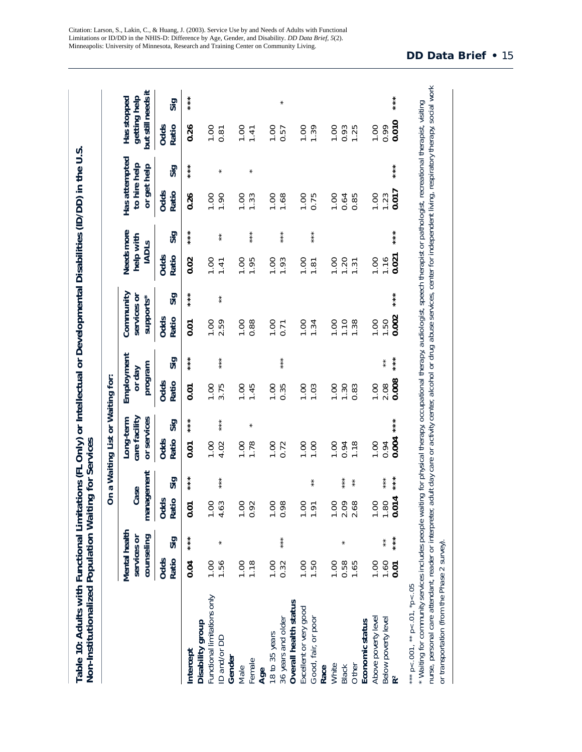|                                                                        |                                            |                   |                              |                           | On a Waiting List or Waiting for:         |         |                                 |                          |                                       |             |                                         |           |                                              |           |                                                   |           |
|------------------------------------------------------------------------|--------------------------------------------|-------------------|------------------------------|---------------------------|-------------------------------------------|---------|---------------------------------|--------------------------|---------------------------------------|-------------|-----------------------------------------|-----------|----------------------------------------------|-----------|---------------------------------------------------|-----------|
|                                                                        | Mental health<br>counseling<br>services or |                   | management<br>Case           |                           | care facility<br>or services<br>Long-term |         | Employment<br>program<br>or day |                          | Community<br>supports*<br>services or |             | Needs more<br>help with<br><b>IADLS</b> |           | Has attempted<br>to hire help<br>or get help |           | but still needs it<br>getting help<br>Has stopped |           |
|                                                                        | Ratio<br>Odds                              | Sig               | Ratio<br>Odds                | Sig                       | Ratio<br>Odds                             | Sig     | Odds<br>Ratio                   | Sig                      | <b>Odds</b><br>Ratio                  | Sig         | Ratio<br>Odds                           | Sig       | Odds<br>Ratio                                | Sig       | <b>Odds</b><br>Ratio                              | Sig       |
| Intercept                                                              | 0.04                                       | ***               | 0.01                         |                           | $\overline{0}$                            |         | 0.01                            |                          | 0.01                                  | $* * * * *$ | 0.02                                    |           | 0.26                                         | $* * * *$ | 0.26                                              | ***       |
| Functional limitations only<br>Disability group<br>D and/or DD         | 1.56<br>1.00                               |                   | 4.63<br>8                    | $* * *$                   | 4.02<br>1.00                              | $* * *$ | 3.75<br>1.00                    | $* * *$                  | 2.59<br><b>00.1</b>                   | $*$         | 1.00<br>1.41                            | $\ast$    | <b>00.1</b><br>1.90                          | $\star$   | 1.00<br>0.81                                      |           |
| Gender<br>Female<br>Male                                               | 00.1<br>1.18                               |                   | 1.00<br>92<br>$\overline{O}$ |                           | 00.1<br>1.78                              | $\ast$  | 1.00<br>1.45                    |                          | <b>00.1</b><br>0.88                   |             | 1.95<br>1.00                            | ***       | 1.00<br>1.33                                 | $\star$   | 00.1<br>1.41                                      |           |
| 36 years and older<br>18 to 35 years<br>Age                            | 0.32<br>00.1                               | $* * *$           | 98<br>00.1<br>$\ddot{\circ}$ |                           | <b>00.1</b><br>0.72                       |         | 1.00<br>0.35                    | $* * *$                  | 0.00<br>0.71                          |             | 1.00<br>1.93                            | ***       | 00.1<br>1.68                                 |           | 1.00<br>0.57                                      | $\star$   |
| Overall health status<br>Excellent or very good<br>Good, fair, or poor | <b>00.1</b><br>1.50                        |                   | 1.00<br>1.91                 | $\ast$                    | 1.00<br>1.00                              |         | 1.00<br>1.03                    |                          | 00.1<br>1.34                          |             | 00.1<br>1.81                            | $* * * *$ | 1.00<br>0.75                                 |           | 1.39<br>1.00                                      |           |
| Other<br>White<br><b>Black</b><br>Race                                 | 1.00<br>0.58<br>1.65                       | $\star$           | 2.09<br>8                    | ***<br>$^{\star}_{\star}$ | 1.00<br>0.94<br>1.18                      |         | 1.00<br>1.30<br>0.83            |                          | 00.1<br>1.10<br>1.38                  |             | 1.00<br>1.20<br>1.31                    |           | 0.85<br>1.00<br>0.64                         |           | 0.93<br>1.25<br><b>00.1</b>                       |           |
| Above poverty level<br>Below poverty level<br>Economic status          | 1.60<br><b>00.1</b><br>500                 | $* * *$<br>$\ast$ | 0.014<br>1.80<br>8           | $* * *$<br>$* * *$        | 0.004<br><b>00.1</b><br>0.94              | $* * *$ | 0.008<br>1.00<br>2.08           | $* * *$<br>$\frac{*}{*}$ | 0.002<br>1.00<br>1.50                 | $* * *$     | 0.021<br>1.00<br>1.16                   | $***$     | 0.017<br>1.00<br>1.23                        | $* * *$   | 0.010<br>1.00<br>0.99                             | $* * * *$ |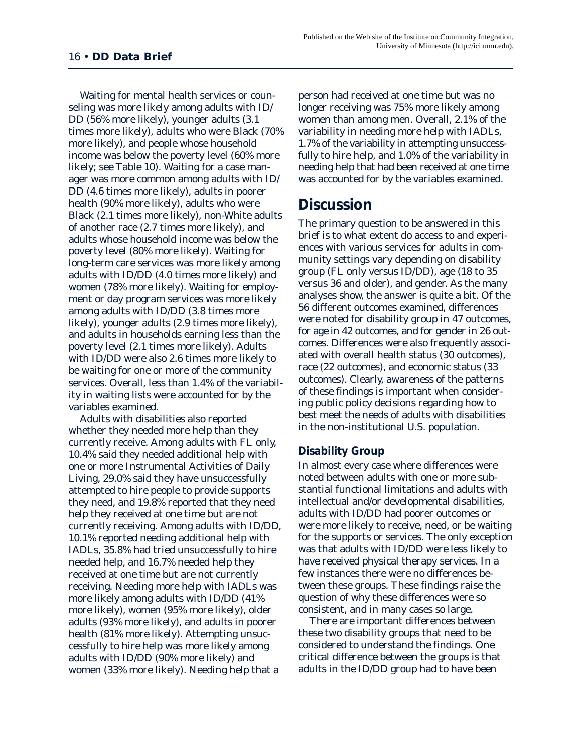Waiting for mental health services or counseling was more likely among adults with ID/ DD (56% more likely), younger adults (3.1 times more likely), adults who were Black (70% more likely), and people whose household income was below the poverty level (60% more likely; see Table 10). Waiting for a case manager was more common among adults with ID/ DD (4.6 times more likely), adults in poorer health (90% more likely), adults who were Black (2.1 times more likely), non-White adults of another race (2.7 times more likely), and adults whose household income was below the poverty level (80% more likely). Waiting for long-term care services was more likely among adults with ID/DD (4.0 times more likely) and women (78% more likely). Waiting for employment or day program services was more likely among adults with ID/DD (3.8 times more likely), younger adults (2.9 times more likely), and adults in households earning less than the poverty level (2.1 times more likely). Adults with ID/DD were also 2.6 times more likely to be waiting for one or more of the community services. Overall, less than 1.4% of the variability in waiting lists were accounted for by the variables examined.

Adults with disabilities also reported whether they needed more help than they currently receive. Among adults with FL only, 10.4% said they needed additional help with one or more Instrumental Activities of Daily Living, 29.0% said they have unsuccessfully attempted to hire people to provide supports they need, and 19.8% reported that they need help they received at one time but are not currently receiving. Among adults with ID/DD, 10.1% reported needing additional help with IADLs, 35.8% had tried unsuccessfully to hire needed help, and 16.7% needed help they received at one time but are not currently receiving. Needing more help with IADLs was more likely among adults with ID/DD (41% more likely), women (95% more likely), older adults (93% more likely), and adults in poorer health (81% more likely). Attempting unsuccessfully to hire help was more likely among adults with ID/DD (90% more likely) and women (33% more likely). Needing help that a

person had received at one time but was no longer receiving was 75% more likely among women than among men. Overall, 2.1% of the variability in needing more help with IADLs, 1.7% of the variability in attempting unsuccessfully to hire help, and 1.0% of the variability in needing help that had been received at one time was accounted for by the variables examined.

### **Discussion**

The primary question to be answered in this brief is to what extent do access to and experiences with various services for adults in community settings vary depending on disability group (FL only versus ID/DD), age (18 to 35 versus 36 and older), and gender. As the many analyses show, the answer is quite a bit. Of the 56 different outcomes examined, differences were noted for disability group in 47 outcomes, for age in 42 outcomes, and for gender in 26 outcomes. Differences were also frequently associated with overall health status (30 outcomes), race (22 outcomes), and economic status (33 outcomes). Clearly, awareness of the patterns of these findings is important when considering public policy decisions regarding how to best meet the needs of adults with disabilities in the non-institutional U.S. population.

#### **Disability Group**

In almost every case where differences were noted between adults with one or more substantial functional limitations and adults with intellectual and/or developmental disabilities, adults with ID/DD had poorer outcomes or were more likely to receive, need, or be waiting for the supports or services. The only exception was that adults with ID/DD were less likely to have received physical therapy services. In a few instances there were no differences between these groups. These findings raise the question of why these differences were so consistent, and in many cases so large.

There are important differences between these two disability groups that need to be considered to understand the findings. One critical difference between the groups is that adults in the ID/DD group had to have been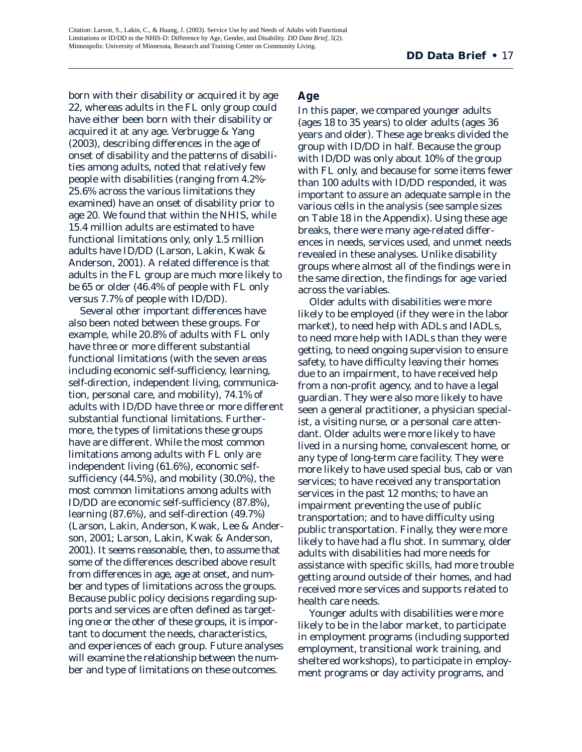born with their disability or acquired it by age 22, whereas adults in the FL only group could have either been born with their disability or acquired it at any age. Verbrugge & Yang (2003), describing differences in the age of onset of disability and the patterns of disabilities among adults, noted that relatively few people with disabilities (ranging from 4.2%- 25.6% across the various limitations they examined) have an onset of disability prior to age 20. We found that within the NHIS, while 15.4 million adults are estimated to have functional limitations only, only 1.5 million adults have ID/DD (Larson, Lakin, Kwak & Anderson, 2001). A related difference is that adults in the FL group are much more likely to be 65 or older (46.4% of people with FL only versus 7.7% of people with ID/DD).

Several other important differences have also been noted between these groups. For example, while 20.8% of adults with FL only have three or more different substantial functional limitations (with the seven areas including economic self-sufficiency, learning, self-direction, independent living, communication, personal care, and mobility), 74.1% of adults with ID/DD have three or more different substantial functional limitations. Furthermore, the types of limitations these groups have are different. While the most common limitations among adults with FL only are independent living (61.6%), economic selfsufficiency (44.5%), and mobility (30.0%), the most common limitations among adults with ID/DD are economic self-sufficiency (87.8%), learning (87.6%), and self-direction (49.7%) (Larson, Lakin, Anderson, Kwak, Lee & Anderson, 2001; Larson, Lakin, Kwak & Anderson, 2001). It seems reasonable, then, to assume that some of the differences described above result from differences in age, age at onset, and number and types of limitations across the groups. Because public policy decisions regarding supports and services are often defined as targeting one or the other of these groups, it is important to document the needs, characteristics, and experiences of each group. Future analyses will examine the relationship between the number and type of limitations on these outcomes.

#### **Age**

In this paper, we compared younger adults (ages 18 to 35 years) to older adults (ages 36 years and older). These age breaks divided the group with ID/DD in half. Because the group with ID/DD was only about 10% of the group with FL only, and because for some items fewer than 100 adults with ID/DD responded, it was important to assure an adequate sample in the various cells in the analysis (see sample sizes on Table 18 in the Appendix). Using these age breaks, there were many age-related differences in needs, services used, and unmet needs revealed in these analyses. Unlike disability groups where almost all of the findings were in the same direction, the findings for age varied across the variables.

Older adults with disabilities were more likely to be employed (if they were in the labor market), to need help with ADLs and IADLs, to need more help with IADLs than they were getting, to need ongoing supervision to ensure safety, to have difficulty leaving their homes due to an impairment, to have received help from a non-profit agency, and to have a legal guardian. They were also more likely to have seen a general practitioner, a physician specialist, a visiting nurse, or a personal care attendant. Older adults were more likely to have lived in a nursing home, convalescent home, or any type of long-term care facility. They were more likely to have used special bus, cab or van services; to have received any transportation services in the past 12 months; to have an impairment preventing the use of public transportation; and to have difficulty using public transportation. Finally, they were more likely to have had a flu shot. In summary, older adults with disabilities had more needs for assistance with specific skills, had more trouble getting around outside of their homes, and had received more services and supports related to health care needs.

Younger adults with disabilities were more likely to be in the labor market, to participate in employment programs (including supported employment, transitional work training, and sheltered workshops), to participate in employment programs or day activity programs, and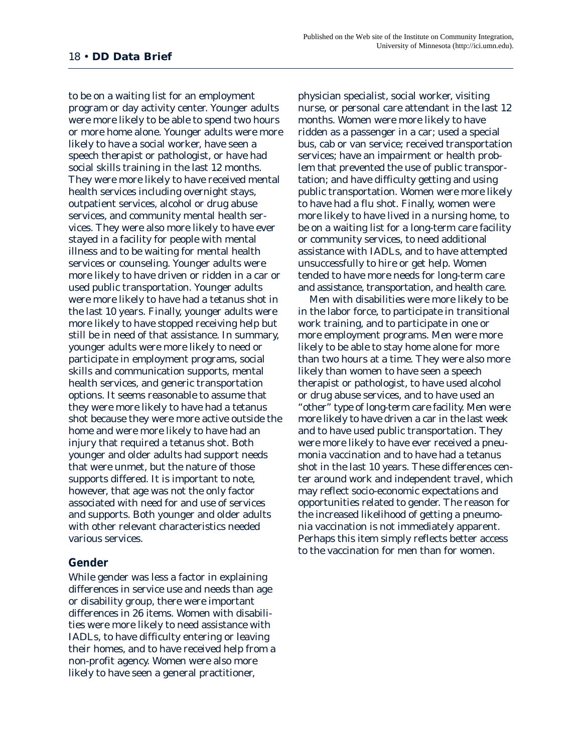to be on a waiting list for an employment program or day activity center. Younger adults were more likely to be able to spend two hours or more home alone. Younger adults were more likely to have a social worker, have seen a speech therapist or pathologist, or have had social skills training in the last 12 months. They were more likely to have received mental health services including overnight stays, outpatient services, alcohol or drug abuse services, and community mental health services. They were also more likely to have ever stayed in a facility for people with mental illness and to be waiting for mental health services or counseling. Younger adults were more likely to have driven or ridden in a car or used public transportation. Younger adults were more likely to have had a tetanus shot in the last 10 years. Finally, younger adults were more likely to have stopped receiving help but still be in need of that assistance. In summary, younger adults were more likely to need or participate in employment programs, social skills and communication supports, mental health services, and generic transportation options. It seems reasonable to assume that they were more likely to have had a tetanus shot because they were more active outside the home and were more likely to have had an injury that required a tetanus shot. Both younger and older adults had support needs that were unmet, but the nature of those supports differed. It is important to note, however, that age was not the only factor associated with need for and use of services and supports. Both younger and older adults with other relevant characteristics needed various services.

#### **Gender**

While gender was less a factor in explaining differences in service use and needs than age or disability group, there were important differences in 26 items. Women with disabilities were more likely to need assistance with IADLs, to have difficulty entering or leaving their homes, and to have received help from a non-profit agency. Women were also more likely to have seen a general practitioner,

physician specialist, social worker, visiting nurse, or personal care attendant in the last 12 months. Women were more likely to have ridden as a passenger in a car; used a special bus, cab or van service; received transportation services; have an impairment or health problem that prevented the use of public transportation; and have difficulty getting and using public transportation. Women were more likely to have had a flu shot. Finally, women were more likely to have lived in a nursing home, to be on a waiting list for a long-term care facility or community services, to need additional assistance with IADLs, and to have attempted unsuccessfully to hire or get help. Women tended to have more needs for long-term care and assistance, transportation, and health care.

Men with disabilities were more likely to be in the labor force, to participate in transitional work training, and to participate in one or more employment programs. Men were more likely to be able to stay home alone for more than two hours at a time. They were also more likely than women to have seen a speech therapist or pathologist, to have used alcohol or drug abuse services, and to have used an "other" type of long-term care facility. Men were more likely to have driven a car in the last week and to have used public transportation. They were more likely to have ever received a pneumonia vaccination and to have had a tetanus shot in the last 10 years. These differences center around work and independent travel, which may reflect socio-economic expectations and opportunities related to gender. The reason for the increased likelihood of getting a pneumonia vaccination is not immediately apparent. Perhaps this item simply reflects better access to the vaccination for men than for women.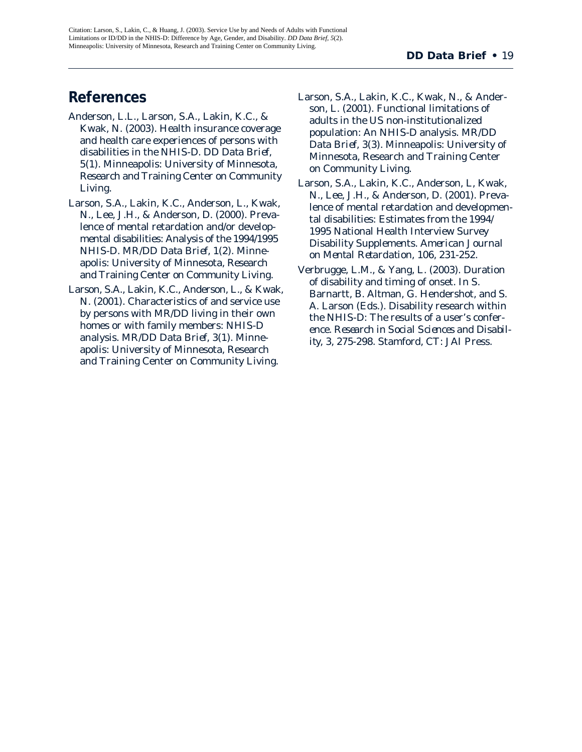## **References**

- Anderson, L.L., Larson, S.A., Lakin, K.C., & Kwak, N. (2003). Health insurance coverage and health care experiences of persons with disabilities in the NHIS-D. *DD Data Brief, 5*(1). Minneapolis: University of Minnesota, Research and Training Center on Community Living.
- Larson, S.A., Lakin, K.C., Anderson, L., Kwak, N., Lee, J.H., & Anderson, D. (2000). Prevalence of mental retardation and/or developmental disabilities: Analysis of the 1994/1995 NHIS-D. *MR/DD Data Brief, 1*(2). Minneapolis: University of Minnesota, Research and Training Center on Community Living.
- Larson, S.A., Lakin, K.C., Anderson, L., & Kwak, N. (2001). Characteristics of and service use by persons with MR/DD living in their own homes or with family members: NHIS-D analysis. *MR/DD Data Brief, 3*(1). Minneapolis: University of Minnesota, Research and Training Center on Community Living.
- Larson, S.A., Lakin, K.C., Kwak, N., & Anderson, L. (2001). Functional limitations of adults in the US non-institutionalized population: An NHIS-D analysis. *MR/DD Data Brief, 3*(3). Minneapolis: University of Minnesota, Research and Training Center on Community Living.
- Larson, S.A., Lakin, K.C., Anderson, L, Kwak, N., Lee, J.H., & Anderson, D. (2001). Prevalence of mental retardation and developmental disabilities: Estimates from the 1994/ 1995 National Health Interview Survey Disability Supplements. *American Journal on Mental Retardation, 106*, 231-252.
- Verbrugge, L.M., & Yang, L. (2003). Duration of disability and timing of onset. In S. Barnartt, B. Altman, G. Hendershot, and S. A. Larson (Eds.). Disability research within the NHIS-D: The results of a user's conference. *Research in Social Sciences and Disability, 3*, 275-298. Stamford, CT: JAI Press.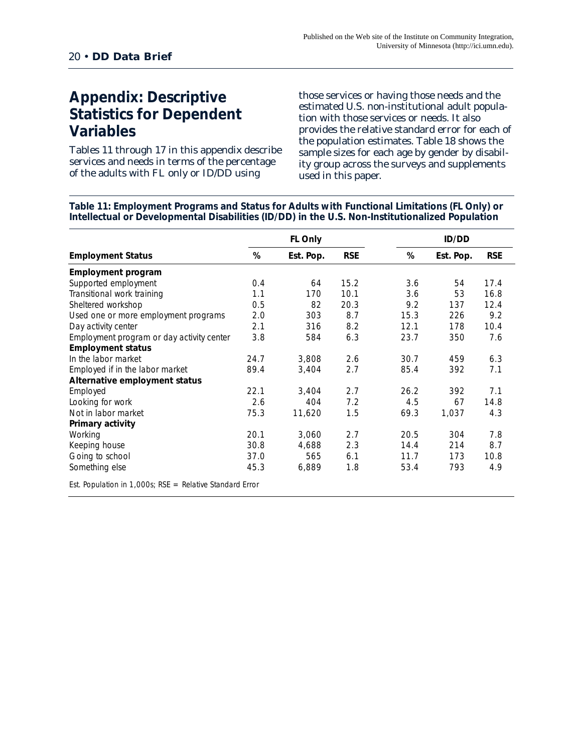## **Appendix: Descriptive Statistics for Dependent Variables**

Tables 11 through 17 in this appendix describe services and needs in terms of the percentage of the adults with FL only or ID/DD using

those services or having those needs and the estimated U.S. non-institutional adult population with those services or needs. It also provides the relative standard error for each of the population estimates. Table 18 shows the sample sizes for each age by gender by disability group across the surveys and supplements used in this paper.

**Table 11: Employment Programs and Status for Adults with Functional Limitations (FL Only) or Intellectual or Developmental Disabilities (ID/DD) in the U.S. Non-Institutionalized Population**

|                                                            |      | FL Only   |            |      | <b>ID/DD</b> |            |
|------------------------------------------------------------|------|-----------|------------|------|--------------|------------|
| <b>Employment Status</b>                                   | %    | Est. Pop. | <b>RSE</b> | %    | Est. Pop.    | <b>RSE</b> |
| <b>Employment program</b>                                  |      |           |            |      |              |            |
| Supported employment                                       | 0.4  | 64        | 15.2       | 3.6  | 54           | 17.4       |
| Transitional work training                                 | 1.1  | 170       | 10.1       | 3.6  | 53           | 16.8       |
| Sheltered workshop                                         | 0.5  | 82        | 20.3       | 9.2  | 137          | 12.4       |
| Used one or more employment programs                       | 2.0  | 303       | 8.7        | 15.3 | 226          | 9.2        |
| Day activity center                                        | 2.1  | 316       | 8.2        | 12.1 | 178          | 10.4       |
| Employment program or day activity center                  | 3.8  | 584       | 6.3        | 23.7 | 350          | 7.6        |
| <b>Employment status</b>                                   |      |           |            |      |              |            |
| In the labor market                                        | 24.7 | 3,808     | 2.6        | 30.7 | 459          | 6.3        |
| Employed if in the labor market                            | 89.4 | 3,404     | 2.7        | 85.4 | 392          | 7.1        |
| Alternative employment status                              |      |           |            |      |              |            |
| Employed                                                   | 22.1 | 3,404     | 2.7        | 26.2 | 392          | 7.1        |
| Looking for work                                           | 2.6  | 404       | 7.2        | 4.5  | 67           | 14.8       |
| Not in labor market                                        | 75.3 | 11,620    | 1.5        | 69.3 | 1,037        | 4.3        |
| Primary activity                                           |      |           |            |      |              |            |
| Working                                                    | 20.1 | 3,060     | 2.7        | 20.5 | 304          | 7.8        |
| Keeping house                                              | 30.8 | 4,688     | 2.3        | 14.4 | 214          | 8.7        |
| Going to school                                            | 37.0 | 565       | 6.1        | 11.7 | 173          | 10.8       |
| Something else                                             | 45.3 | 6,889     | 1.8        | 53.4 | 793          | 4.9        |
| Est. Population in 1,000s; $RSE = Relative Standard Error$ |      |           |            |      |              |            |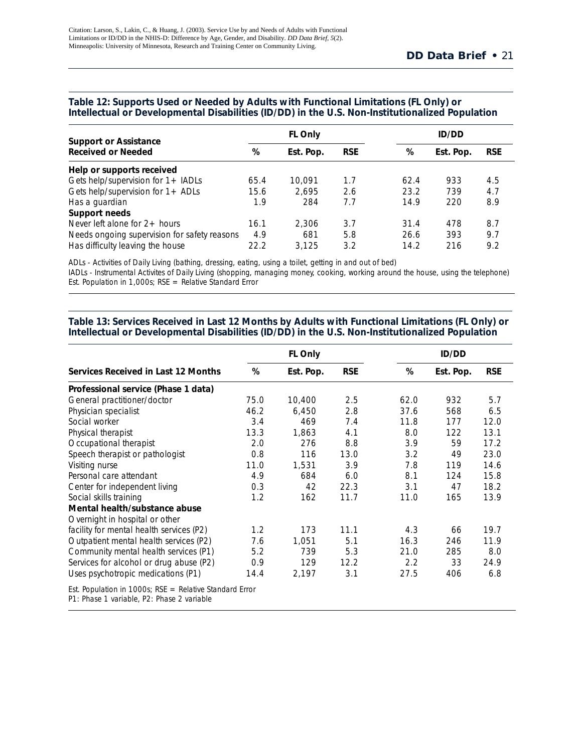|                                                           |      | <b>FL Only</b> |            |      | <b>ID/DD</b> |            |
|-----------------------------------------------------------|------|----------------|------------|------|--------------|------------|
| <b>Support or Assistance</b><br><b>Received or Needed</b> | %    | Est. Pop.      | <b>RSE</b> | %    | Est. Pop.    | <b>RSE</b> |
| Help or supports received                                 |      |                |            |      |              |            |
| Gets help/supervision for $1 +$ IADLs                     | 65.4 | 10.091         | 1.7        | 62.4 | 933          | 4.5        |
| Gets help/supervision for $1 +$ ADLs                      | 15.6 | 2.695          | 2.6        | 23.2 | 739          | 4.7        |
| Has a guardian                                            | 1.9  | 284            | 7.7        | 14.9 | 220          | 8.9        |
| Support needs                                             |      |                |            |      |              |            |
| Never left alone for $2+$ hours                           | 16.1 | 2.306          | 3.7        | 31.4 | 478          | 8.7        |
| Needs ongoing supervision for safety reasons              | 4.9  | 681            | 5.8        | 26.6 | 393          | 9.7        |
| Has difficulty leaving the house                          | 22.2 | 3.125          | 3.2        | 14.2 | 216          | 9.2        |

#### **Table 12: Supports Used or Needed by Adults with Functional Limitations (FL Only) or Intellectual or Developmental Disabilities (ID/DD) in the U.S. Non-Institutionalized Population**

ADLs - Activities of Daily Living (bathing, dressing, eating, using a toilet, getting in and out of bed)

IADLs - Instrumental Activites of Daily Living (shopping, managing money, cooking, working around the house, using the telephone) Est. Population in 1,000s;  $RSE = Relative Standard Error$ 

#### **Table 13: Services Received in Last 12 Months by Adults with Functional Limitations (FL Only) or** Intellectual or Developmental Disabilities (ID/DD) in the U.S. Non-Institutionalized Population

|                                                                                                         |      | <b>FL Only</b> |            |      | <b>ID/DD</b> |            |
|---------------------------------------------------------------------------------------------------------|------|----------------|------------|------|--------------|------------|
| Services Received in Last 12 Months                                                                     | %    | Est. Pop.      | <b>RSE</b> | %    | Est. Pop.    | <b>RSE</b> |
| Professional service (Phase 1 data)                                                                     |      |                |            |      |              |            |
| General practitioner/doctor                                                                             | 75.0 | 10,400         | 2.5        | 62.0 | 932          | 5.7        |
| Physician specialist                                                                                    | 46.2 | 6,450          | 2.8        | 37.6 | 568          | 6.5        |
| Social worker                                                                                           | 3.4  | 469            | 7.4        | 11.8 | 177          | 12.0       |
| Physical therapist                                                                                      | 13.3 | 1,863          | 4.1        | 8.0  | 122          | 13.1       |
| Occupational therapist                                                                                  | 2.0  | 276            | 8.8        | 3.9  | 59           | 17.2       |
| Speech therapist or pathologist                                                                         | 0.8  | 116            | 13.0       | 3.2  | 49           | 23.0       |
| Visiting nurse                                                                                          | 11.0 | 1,531          | 3.9        | 7.8  | 119          | 14.6       |
| Personal care attendant                                                                                 | 4.9  | 684            | 6.0        | 8.1  | 124          | 15.8       |
| Center for independent living                                                                           | 0.3  | 42             | 22.3       | 3.1  | 47           | 18.2       |
| Social skills training                                                                                  | 1.2  | 162            | 11.7       | 11.0 | 165          | 13.9       |
| Mental health/substance abuse                                                                           |      |                |            |      |              |            |
| Overnight in hospital or other                                                                          |      |                |            |      |              |            |
| facility for mental health services (P2)                                                                | 1.2  | 173            | 11.1       | 4.3  | 66           | 19.7       |
| Outpatient mental health services (P2)                                                                  | 7.6  | 1,051          | 5.1        | 16.3 | 246          | 11.9       |
| Community mental health services (P1)                                                                   | 5.2  | 739            | 5.3        | 21.0 | 285          | 8.0        |
| Services for alcohol or drug abuse (P2)                                                                 | 0.9  | 129            | 12.2       | 2.2  | 33           | 24.9       |
| Uses psychotropic medications (P1)                                                                      | 14.4 | 2,197          | 3.1        | 27.5 | 406          | 6.8        |
| Est. Population in 1000s; $RSE = Relative Standard Error$<br>P1: Phase 1 variable, P2: Phase 2 variable |      |                |            |      |              |            |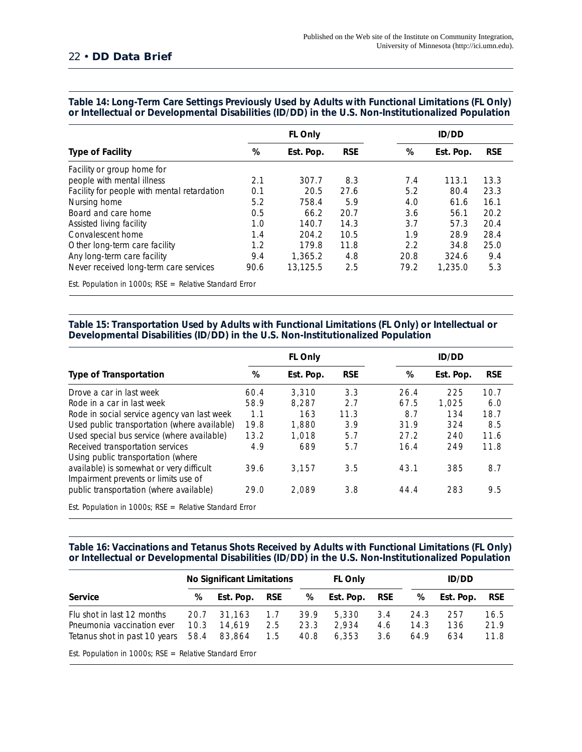#### 22 • **DD Data Brief**

|                                                           |      | FL Only   |            | <b>ID/DD</b> |           |            |  |
|-----------------------------------------------------------|------|-----------|------------|--------------|-----------|------------|--|
| <b>Type of Facility</b>                                   | %    | Est. Pop. | <b>RSE</b> | %            | Est. Pop. | <b>RSE</b> |  |
| Facility or group home for                                |      |           |            |              |           |            |  |
| people with mental illness                                | 2.1  | 307.7     | 8.3        | 7.4          | 113.1     | 13.3       |  |
| Facility for people with mental retardation               | 0.1  | 20.5      | 27.6       | 5.2          | 80.4      | 23.3       |  |
| Nursing home                                              | 5.2  | 758.4     | 5.9        | 4.0          | 61.6      | 16.1       |  |
| Board and care home                                       | 0.5  | 66.2      | 20.7       | 3.6          | 56.1      | 20.2       |  |
| Assisted living facility                                  | 1.0  | 140.7     | 14.3       | 3.7          | 57.3      | 20.4       |  |
| Convalescent home                                         | 1.4  | 204.2     | 10.5       | 1.9          | 28.9      | 28.4       |  |
| Other long-term care facility                             | 1.2  | 179.8     | 11.8       | 2.2          | 34.8      | 25.0       |  |
| Any long-term care facility                               | 9.4  | 1,365.2   | 4.8        | 20.8         | 324.6     | 9.4        |  |
| Never received long-term care services                    | 90.6 | 13,125.5  | 2.5        | 79.2         | 1,235.0   | 5.3        |  |
| Est. Population in 1000s; $RSE = Relative Standard Error$ |      |           |            |              |           |            |  |

#### **Table 14: Long-Term Care Settings Previously Used by Adults with Functional Limitations (FL Only) or Intellectual or Developmental Disabilities (ID/DD) in the U.S. Non-Institutionalized Population**

#### **Table 15: Transportation Used by Adults with Functional Limitations (FL Only) or Intellectual or Developmental Disabilities (ID/DD) in the U.S. Non-Institutionalized Population**

|                                                                                  |      | <b>FL Only</b> |            |      | <b>ID/DD</b> |            |  |  |  |
|----------------------------------------------------------------------------------|------|----------------|------------|------|--------------|------------|--|--|--|
| <b>Type of Transportation</b>                                                    | %    | Est. Pop.      | <b>RSE</b> | %    | Est. Pop.    | <b>RSE</b> |  |  |  |
| Drove a car in last week                                                         | 60.4 | 3.310          | 3.3        | 26.4 | 225          | 10.7       |  |  |  |
| Rode in a car in last week                                                       | 58.9 | 8.287          | 2.7        | 67.5 | 1.025        | 6.0        |  |  |  |
| Rode in social service agency van last week                                      | 1.1  | 163            | 11.3       | 8.7  | 134          | 18.7       |  |  |  |
| Used public transportation (where available)                                     | 19.8 | 1,880          | 3.9        | 31.9 | 324          | 8.5        |  |  |  |
| Used special bus service (where available)                                       | 13.2 | 1.018          | 5.7        | 27.2 | 240          | 11.6       |  |  |  |
| Received transportation services<br>Using public transportation (where           | 4.9  | 689            | 5.7        | 16.4 | 249          | 11.8       |  |  |  |
| available) is somewhat or very difficult<br>Impairment prevents or limits use of | 39.6 | 3.157          | 3.5        | 43.1 | 385          | 8.7        |  |  |  |
| public transportation (where available)                                          | 29.0 | 2.089          | 3.8        | 44.4 | 283          | 9.5        |  |  |  |
| Est. Population in 1000s; $RSE = Relative Standard Error$                        |      |                |            |      |              |            |  |  |  |

#### **Table 16: Vaccinations and Tetanus Shots Received by Adults with Functional Limitations (FL Only) or Intellectual or Developmental Disabilities (ID/DD) in the U.S. Non-Institutionalized Population**

|                                                                                           | <b>No Significant Limitations</b><br><b>FL Only</b> |                            |                   | <b>ID/DD</b>         |                         |                   |                      |                   |                      |
|-------------------------------------------------------------------------------------------|-----------------------------------------------------|----------------------------|-------------------|----------------------|-------------------------|-------------------|----------------------|-------------------|----------------------|
| Service                                                                                   | %                                                   | Est. Pop.                  | <b>RSE</b>        | %                    | Est. Pop.               | RSE               | %                    | Est. Pop.         | <b>RSE</b>           |
| Flu shot in last 12 months<br>Pneumonia vaccination ever<br>Tetanus shot in past 10 years | 20.7<br>10.3<br>58.4                                | 31.163<br>14.619<br>83,864 | 1.7<br>2.5<br>1.5 | 39.9<br>23.3<br>40.8 | 5,330<br>2.934<br>6,353 | 3.4<br>4.6<br>3.6 | 24.3<br>14.3<br>64.9 | 257<br>136<br>634 | 16.5<br>21.9<br>11.8 |
| Est. Population in 1000s; $RSE = Relative Standard Error$                                 |                                                     |                            |                   |                      |                         |                   |                      |                   |                      |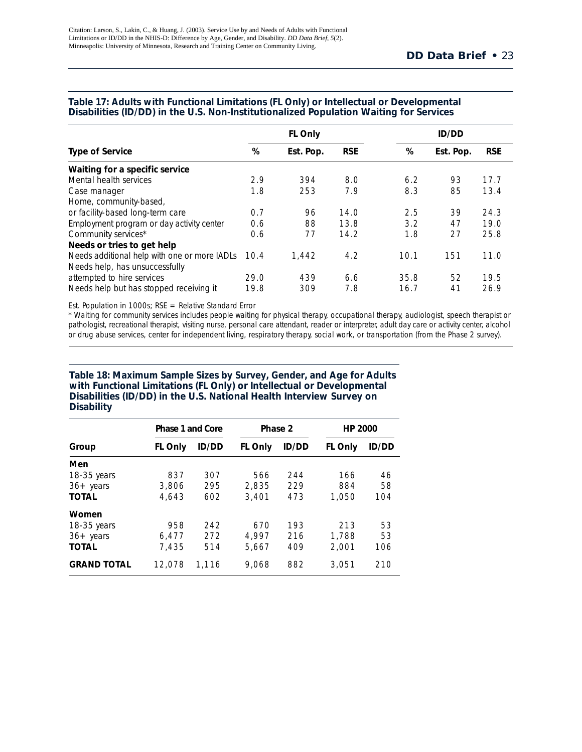|                                              |      | <b>FL Only</b> |            | <b>ID/DD</b> |           |            |  |
|----------------------------------------------|------|----------------|------------|--------------|-----------|------------|--|
| <b>Type of Service</b>                       | %    | Est. Pop.      | <b>RSE</b> | %            | Est. Pop. | <b>RSE</b> |  |
| Waiting for a specific service               |      |                |            |              |           |            |  |
| Mental health services                       | 2.9  | 394            | 8.0        | 6.2          | 93        | 17.7       |  |
| Case manager                                 | 1.8  | 253            | 7.9        | 8.3          | 85        | 13.4       |  |
| Home, community-based,                       |      |                |            |              |           |            |  |
| or facility-based long-term care             | 0.7  | 96             | 14.0       | 2.5          | 39        | 24.3       |  |
| Employment program or day activity center    | 0.6  | 88             | 13.8       | 3.2          | 47        | 19.0       |  |
| Community services*                          | 0.6  | 77             | 14.2       | 1.8          | 27        | 25.8       |  |
| Needs or tries to get help                   |      |                |            |              |           |            |  |
| Needs additional help with one or more IADLs | 10.4 | 1.442          | 4.2        | 10.1         | 151       | 11.0       |  |
| Needs help, has unsuccessfully               |      |                |            |              |           |            |  |
| attempted to hire services                   | 29.0 | 439            | 6.6        | 35.8         | 52        | 19.5       |  |
| Needs help but has stopped receiving it      | 19.8 | 309            | 7.8        | 16.7         | 41        | 26.9       |  |

#### **Table 17: Adults with Functional Limitations (FL Only) or Intellectual or Developmental Disabilities (ID/DD) in the U.S. Non-Institutionalized Population Waiting for Services**

Est. Population in 1000s; RSE = Relative Standard Error

\* Waiting for community services includes people waiting for physical therapy, occupational therapy, audiologist, speech therapist or pathologist, recreational therapist, visiting nurse, personal care attendant, reader or interpreter, adult day care or activity center, alcohol or drug abuse services, center for independent living, respiratory therapy, social work, or transportation (from the Phase 2 survey).

#### **Table 18: Maximum Sample Sizes by Survey, Gender, and Age for Adults with Functional Limitations (FL Only) or Intellectual or Developmental Disabilities (ID/DD) in the U.S. National Health Interview Survey on Disability**

|                     | Phase 1 and Core |              | Phase 2        |              | <b>HP 2000</b> |              |  |
|---------------------|------------------|--------------|----------------|--------------|----------------|--------------|--|
| Group               | <b>FL Only</b>   | <b>ID/DD</b> | <b>FL Only</b> | <b>ID/DD</b> | <b>FL Only</b> | <b>ID/DD</b> |  |
| Men                 |                  |              |                |              |                |              |  |
| $18-35$ years       | 837              | 307          | 566            | 244          | 166            | 46           |  |
| $36 + \text{years}$ | 3,806            | 295          | 2.835          | 229          | 884            | 58           |  |
| <b>TOTAL</b>        | 4.643            | 602          | 3,401          | 473          | 1.050          | 104          |  |
| Women               |                  |              |                |              |                |              |  |
| $18-35$ years       | 958              | 242          | 670            | 193          | 213            | 53           |  |
| $36 + \text{years}$ | 6,477            | 272          | 4.997          | 216          | 1,788          | 53           |  |
| <b>TOTAL</b>        | 7.435            | 514          | 5.667          | 409          | 2.001          | 106          |  |
| <b>GRAND TOTAL</b>  | 12.078           | 1.116        | 9.068          | 882          | 3.051          | 210          |  |